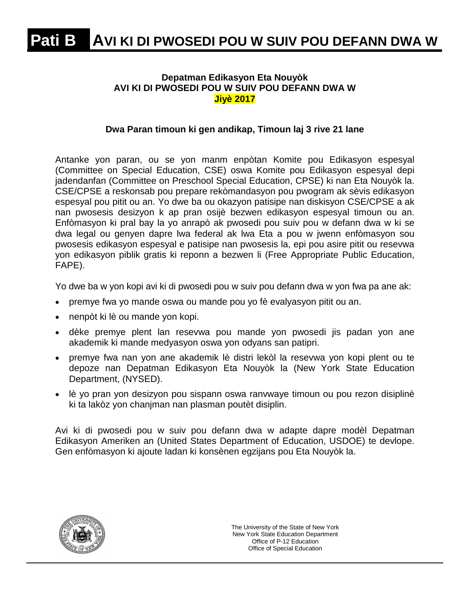### **Depatman Edikasyon Eta Nouyòk AVI KI DI PWOSEDI POU W SUIV POU DEFANN DWA W Jiyè 2017**

### **Dwa Paran timoun ki gen andikap, Timoun laj 3 rive 21 lane**

Antanke yon paran, ou se yon manm enpòtan Komite pou Edikasyon espesyal (Committee on Special Education, CSE) oswa Komite pou Edikasyon espesyal depi jadendanfan (Committee on Preschool Special Education, CPSE) ki nan Eta Nouyòk la. CSE/CPSE a reskonsab pou prepare rekòmandasyon pou pwogram ak sèvis edikasyon espesyal pou pitit ou an. Yo dwe ba ou okazyon patisipe nan diskisyon CSE/CPSE a ak nan pwosesis desizyon k ap pran osijè bezwen edikasyon espesyal timoun ou an. Enfòmasyon ki pral bay la yo anrapò ak pwosedi pou suiv pou w defann dwa w ki se dwa legal ou genyen dapre lwa federal ak lwa Eta a pou w jwenn enfòmasyon sou pwosesis edikasyon espesyal e patisipe nan pwosesis la, epi pou asire pitit ou resevwa yon edikasyon piblik gratis ki reponn a bezwen li (Free Appropriate Public Education, FAPE).

Yo dwe ba w yon kopi avi ki di pwosedi pou w suiv pou defann dwa w yon fwa pa ane ak:

- premye fwa yo mande oswa ou mande pou yo fè evalyasyon pitit ou an.
- nenpòt ki lè ou mande yon kopi.
- dèke premye plent lan resevwa pou mande yon pwosedi jis padan yon ane akademik ki mande medyasyon oswa yon odyans san patipri.
- premye fwa nan yon ane akademik lè distri lekòl la resevwa yon kopi plent ou te depoze nan Depatman Edikasyon Eta Nouyòk la (New York State Education Department, (NYSED).
- lè yo pran yon desizyon pou sispann oswa ranvwaye timoun ou pou rezon disiplinè ki ta lakòz yon chanjman nan plasman poutèt disiplin.

Avi ki di pwosedi pou w suiv pou defann dwa w adapte dapre modèl Depatman Edikasyon Ameriken an (United States Department of Education, USDOE) te devlope. Gen enfòmasyon ki ajoute ladan ki konsènen egzijans pou Eta Nouyòk la.

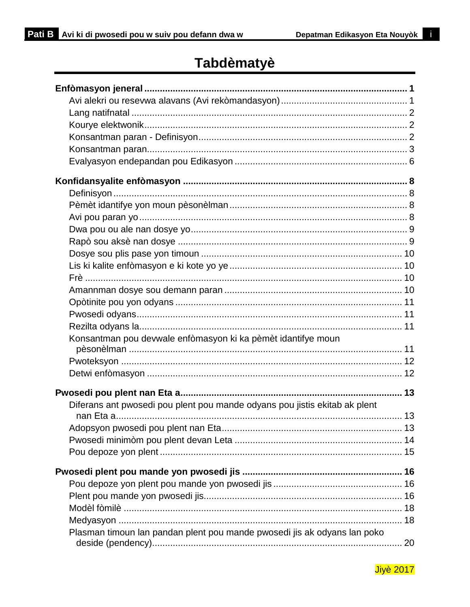i.

# **Tabdèmatyè**

| Konsantman pou devwale enfòmasyon ki ka pèmèt idantifye moun               |  |
|----------------------------------------------------------------------------|--|
|                                                                            |  |
|                                                                            |  |
|                                                                            |  |
| Diferans ant pwosedi pou plent pou mande odyans pou jistis ekitab ak plent |  |
|                                                                            |  |
|                                                                            |  |
|                                                                            |  |
|                                                                            |  |
|                                                                            |  |
|                                                                            |  |
|                                                                            |  |
|                                                                            |  |
|                                                                            |  |
| Plasman timoun lan pandan plent pou mande pwosedi jis ak odyans lan poko   |  |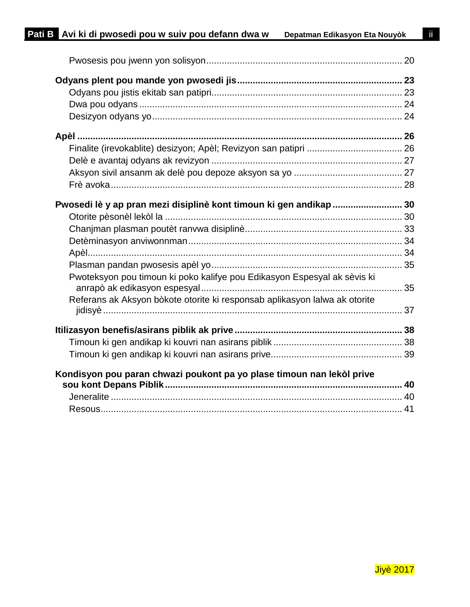| Pwosedi lè y ap pran mezi disiplinè kont timoun ki gen andikap  30         |  |
|----------------------------------------------------------------------------|--|
|                                                                            |  |
|                                                                            |  |
|                                                                            |  |
|                                                                            |  |
|                                                                            |  |
| Pwoteksyon pou timoun ki poko kalifye pou Edikasyon Espesyal ak sèvis ki   |  |
| Referans ak Aksyon bòkote otorite ki responsab aplikasyon lalwa ak otorite |  |
|                                                                            |  |
|                                                                            |  |
|                                                                            |  |
|                                                                            |  |
| Kondisyon pou paran chwazi poukont pa yo plase timoun nan lekòl prive      |  |
|                                                                            |  |
|                                                                            |  |
|                                                                            |  |

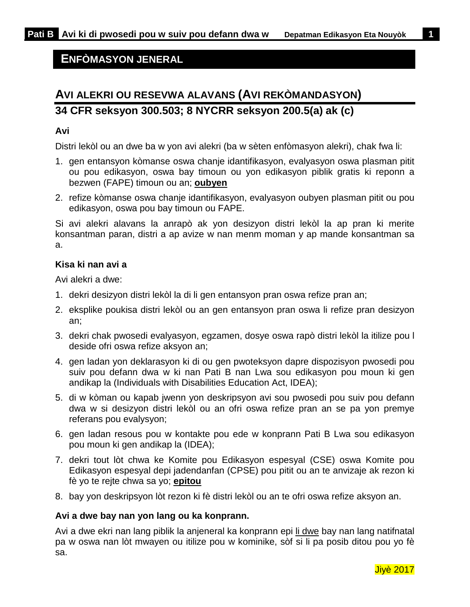### <span id="page-3-0"></span>**ENFÒMASYON JENERAL**

# <span id="page-3-1"></span>**AVI ALEKRI OU RESEVWA ALAVANS (AVI REKÒMANDASYON) 34 CFR seksyon 300.503; 8 NYCRR seksyon 200.5(a) ak (c)**

### **Avi**

Distri lekòl ou an dwe ba w yon avi alekri (ba w sèten enfòmasyon alekri), chak fwa li:

- 1. gen entansyon kòmanse oswa chanje idantifikasyon, evalyasyon oswa plasman pitit ou pou edikasyon, oswa bay timoun ou yon edikasyon piblik gratis ki reponn a bezwen (FAPE) timoun ou an; **oubyen**
- 2. refize kòmanse oswa chanje idantifikasyon, evalyasyon oubyen plasman pitit ou pou edikasyon, oswa pou bay timoun ou FAPE.

Si avi alekri alavans la anrapò ak yon desizyon distri lekòl la ap pran ki merite konsantman paran, distri a ap avize w nan menm moman y ap mande konsantman sa a.

### **Kisa ki nan avi a**

Avi alekri a dwe:

- 1. dekri desizyon distri lekòl la di li gen entansyon pran oswa refize pran an;
- 2. eksplike poukisa distri lekòl ou an gen entansyon pran oswa li refize pran desizyon an;
- 3. dekri chak pwosedi evalyasyon, egzamen, dosye oswa rapò distri lekòl la itilize pou l deside ofri oswa refize aksyon an;
- 4. gen ladan yon deklarasyon ki di ou gen pwoteksyon dapre dispozisyon pwosedi pou suiv pou defann dwa w ki nan Pati B nan Lwa sou edikasyon pou moun ki gen andikap la (Individuals with Disabilities Education Act, IDEA);
- 5. di w kòman ou kapab jwenn yon deskripsyon avi sou pwosedi pou suiv pou defann dwa w si desizyon distri lekòl ou an ofri oswa refize pran an se pa yon premye referans pou evalysyon;
- 6. gen ladan resous pou w kontakte pou ede w konprann Pati B Lwa sou edikasyon pou moun ki gen andikap la (IDEA);
- 7. dekri tout lòt chwa ke Komite pou Edikasyon espesyal (CSE) oswa Komite pou Edikasyon espesyal depi jadendanfan (CPSE) pou pitit ou an te anvizaje ak rezon ki fè yo te rejte chwa sa yo; **epitou**
- 8. bay yon deskripsyon lòt rezon ki fè distri lekòl ou an te ofri oswa refize aksyon an.

#### **Avi a dwe bay nan yon lang ou ka konprann.**

Avi a dwe ekri nan lang piblik la anjeneral ka konprann epi li dwe bay nan lang natifnatal pa w oswa nan lòt mwayen ou itilize pou w kominike, sòf si li pa posib ditou pou yo fè sa.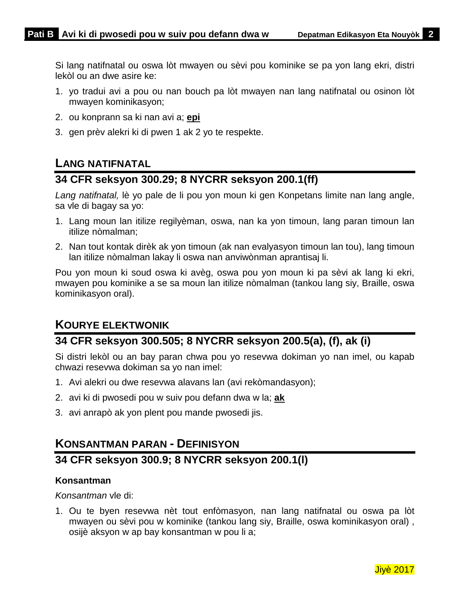Si lang natifnatal ou oswa lòt mwayen ou sèvi pou kominike se pa yon lang ekri, distri lekòl ou an dwe asire ke:

- 1. yo tradui avi a pou ou nan bouch pa lòt mwayen nan lang natifnatal ou osinon lòt mwayen kominikasyon;
- 2. ou konprann sa ki nan avi a; **epi**
- <span id="page-4-0"></span>3. gen prèv alekri ki di pwen 1 ak 2 yo te respekte.

## **LANG NATIFNATAL**

### **34 CFR seksyon 300.29; 8 NYCRR seksyon 200.1(ff)**

*Lang natifnatal,* lè yo pale de li pou yon moun ki gen Konpetans limite nan lang angle, sa vle di bagay sa yo:

- 1. Lang moun lan itilize regilyèman, oswa, nan ka yon timoun, lang paran timoun lan itilize nòmalman;
- 2. Nan tout kontak dirèk ak yon timoun (ak nan evalyasyon timoun lan tou), lang timoun lan itilize nòmalman lakay li oswa nan anviwònman aprantisaj li.

Pou yon moun ki soud oswa ki avèg, oswa pou yon moun ki pa sèvi ak lang ki ekri, mwayen pou kominike a se sa moun lan itilize nòmalman (tankou lang siy, Braille, oswa kominikasyon oral).

# <span id="page-4-1"></span>**KOURYE ELEKTWONIK**

## **34 CFR seksyon 300.505; 8 NYCRR seksyon 200.5(a), (f), ak (i)**

Si distri lekòl ou an bay paran chwa pou yo resevwa dokiman yo nan imel, ou kapab chwazi resevwa dokiman sa yo nan imel:

- 1. Avi alekri ou dwe resevwa alavans lan (avi rekòmandasyon);
- 2. avi ki di pwosedi pou w suiv pou defann dwa w la; **ak**
- <span id="page-4-2"></span>3. avi anrapò ak yon plent pou mande pwosedi jis.

# **KONSANTMAN PARAN - DEFINISYON**

### **34 CFR seksyon 300.9; 8 NYCRR seksyon 200.1(l)**

### **Konsantman**

*Konsantman* vle di:

1. Ou te byen resevwa nèt tout enfòmasyon, nan lang natifnatal ou oswa pa lòt mwayen ou sèvi pou w kominike (tankou lang siy, Braille, oswa kominikasyon oral) , osijè aksyon w ap bay konsantman w pou li a;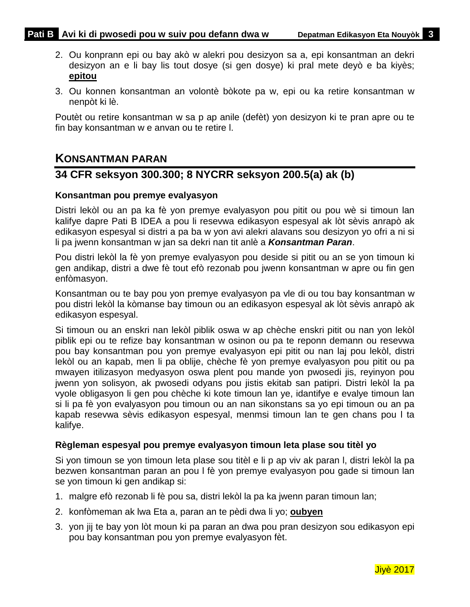- 2. Ou konprann epi ou bay akò w alekri pou desizyon sa a, epi konsantman an dekri desizyon an e li bay lis tout dosye (si gen dosye) ki pral mete deyò e ba kiyès; **epitou**
- 3. Ou konnen konsantman an volontè bòkote pa w, epi ou ka retire konsantman w nenpòt ki lè.

Poutèt ou retire konsantman w sa p ap anile (defèt) yon desizyon ki te pran apre ou te fin bay konsantman w e anvan ou te retire l.

### <span id="page-5-0"></span>**KONSANTMAN PARAN**

### **34 CFR seksyon 300.300; 8 NYCRR seksyon 200.5(a) ak (b)**

### **Konsantman pou premye evalyasyon**

Distri lekòl ou an pa ka fè yon premye evalyasyon pou pitit ou pou wè si timoun lan kalifye dapre Pati B IDEA a pou li resevwa edikasyon espesyal ak lòt sèvis anrapò ak edikasyon espesyal si distri a pa ba w yon avi alekri alavans sou desizyon yo ofri a ni si li pa jwenn konsantman w jan sa dekri nan tit anlè a *Konsantman Paran*.

Pou distri lekòl la fè yon premye evalyasyon pou deside si pitit ou an se yon timoun ki gen andikap, distri a dwe fè tout efò rezonab pou jwenn konsantman w apre ou fin gen enfòmasyon.

Konsantman ou te bay pou yon premye evalyasyon pa vle di ou tou bay konsantman w pou distri lekòl la kòmanse bay timoun ou an edikasyon espesyal ak lòt sèvis anrapò ak edikasyon espesyal.

Si timoun ou an enskri nan lekòl piblik oswa w ap chèche enskri pitit ou nan yon lekòl piblik epi ou te refize bay konsantman w osinon ou pa te reponn demann ou resevwa pou bay konsantman pou yon premye evalyasyon epi pitit ou nan laj pou lekòl, distri lekòl ou an kapab, men li pa oblije, chèche fè yon premye evalyasyon pou pitit ou pa mwayen itilizasyon medyasyon oswa plent pou mande yon pwosedi jis, reyinyon pou jwenn yon solisyon, ak pwosedi odyans pou jistis ekitab san patipri. Distri lekòl la pa vyole obligasyon li gen pou chèche ki kote timoun lan ye, idantifye e evalye timoun lan si li pa fè yon evalyasyon pou timoun ou an nan sikonstans sa yo epi timoun ou an pa kapab resevwa sèvis edikasyon espesyal, menmsi timoun lan te gen chans pou l ta kalifye.

### **Règleman espesyal pou premye evalyasyon timoun leta plase sou titèl yo**

Si yon timoun se yon timoun leta plase sou titèl e li p ap viv ak paran l, distri lekòl la pa bezwen konsantman paran an pou l fè yon premye evalyasyon pou gade si timoun lan se yon timoun ki gen andikap si:

- 1. malgre efò rezonab li fè pou sa, distri lekòl la pa ka jwenn paran timoun lan;
- 2. konfòmeman ak lwa Eta a, paran an te pèdi dwa li yo; **oubyen**
- 3. yon jij te bay yon lòt moun ki pa paran an dwa pou pran desizyon sou edikasyon epi pou bay konsantman pou yon premye evalyasyon fèt.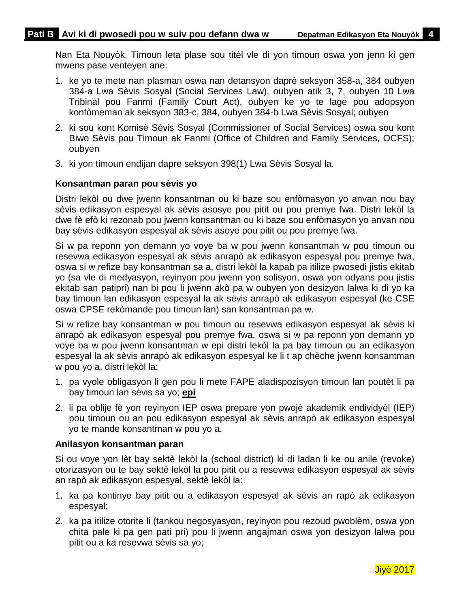Nan Eta Nouyòk, Timoun leta plase sou titèl vle di yon timoun oswa yon jenn ki gen mwens pase venteyen ane:

- 1. ke yo te mete nan plasman oswa nan detansyon daprè seksyon 358-a, 384 oubyen 384-a Lwa Sèvis Sosyal (Social Services Law), oubyen atik 3, 7, oubyen 10 Lwa Tribinal pou Fanmi (Family Court Act), oubyen ke yo te lage pou adopsyon konfòmeman ak seksyon 383-c, 384, oubyen 384-b Lwa Sèvis Sosyal; oubyen
- 2. ki sou kont Komisè Sèvis Sosyal (Commissioner of Social Services) oswa sou kont Biwo Sèvis pou Timoun ak Fanmi (Office of Children and Family Services, OCFS); oubyen
- 3. ki yon timoun endijan dapre seksyon 398(1) Lwa Sèvis Sosyal la.

### **Konsantman paran pou sèvis yo**

Distri lekòl ou dwe jwenn konsantman ou ki baze sou enfòmasyon yo anvan nou bay sèvis edikasyon espesyal ak sèvis asosye pou pitit ou pou premye fwa. Distri lekòl la dwe fè efò ki rezonab pou jwenn konsantman ou ki baze sou enfòmasyon yo anvan nou bay sèvis edikasyon espesyal ak sèvis asoye pou pitit ou pou premye fwa.

Si w pa reponn yon demann yo voye ba w pou jwenn konsantman w pou timoun ou resevwa edikasyon espesyal ak sèvis anrapò ak edikasyon espesyal pou premye fwa, oswa si w refize bay konsantman sa a, distri lekòl la kapab pa itilize pwosedi jistis ekitab yo (sa vle di medyasyon, reyinyon pou jwenn yon solisyon, oswa yon odyans pou jistis ekitab san patipri) nan bi pou li jwenn akò pa w oubyen yon desizyon lalwa ki di yo ka bay timoun lan edikasyon espesyal la ak sèvis anrapò ak edikasyon espesyal (ke CSE oswa CPSE rekòmande pou timoun lan) san konsantman pa w.

Si w refize bay konsantman w pou timoun ou resevwa edikasyon espesyal ak sèvis ki anrapò ak edikasyon espesyal pou premye fwa, oswa si w pa reponn yon demann yo voye ba w pou jwenn konsantman w epi distri lekòl la pa bay timoun ou an edikasyon espesyal la ak sèvis anrapò ak edikasyon espesyal ke li t ap chèche jwenn konsantman w pou yo a, distri lekòl la:

- 1. pa vyole obligasyon li gen pou li mete FAPE aladispozisyon timoun lan poutèt li pa bay timoun lan sèvis sa yo; **epi**
- 2. li pa oblije fè yon reyinyon IEP oswa prepare yon pwojè akademik endividyèl (IEP) pou timoun ou an pou edikasyon espesyal ak sèvis anrapò ak edikasyon espesyal yo te mande konsantman w pou yo a.

### **Anilasyon konsantman paran**

Si ou voye yon lèt bay sektè lekòl la (school district) ki di ladan li ke ou anile (revoke) otorizasyon ou te bay sektè lekòl la pou pitit ou a resevwa edikasyon espesyal ak sèvis an rapò ak edikasyon espesyal, sektè lekòl la:

- 1. ka pa kontinye bay pitit ou a edikasyon espesyal ak sèvis an rapò ak edikasyon espesyal;
- 2. ka pa itilize otorite li (tankou negosyasyon, reyinyon pou rezoud pwoblèm, oswa yon chita pale ki pa gen pati pri) pou li jwenn angajman oswa yon desizyon lalwa pou pitit ou a ka resevwa sèvis sa yo;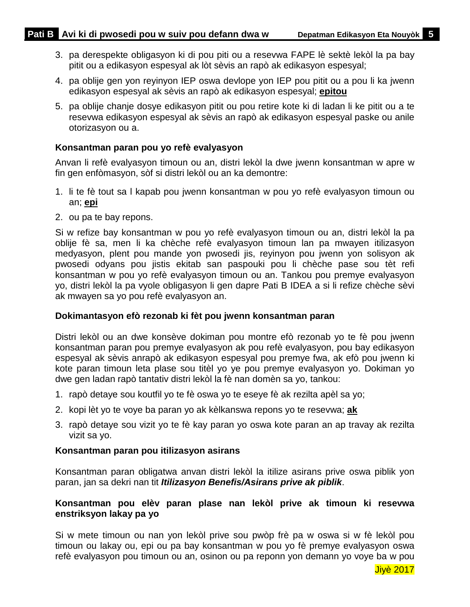- 3. pa derespekte obligasyon ki di pou piti ou a resevwa FAPE lè sektè lekòl la pa bay pitit ou a edikasyon espesyal ak lòt sèvis an rapò ak edikasyon espesyal;
- 4. pa oblije gen yon reyinyon IEP oswa devlope yon IEP pou pitit ou a pou li ka jwenn edikasyon espesyal ak sèvis an rapò ak edikasyon espesyal; **epitou**
- 5. pa oblije chanje dosye edikasyon pitit ou pou retire kote ki di ladan li ke pitit ou a te resevwa edikasyon espesyal ak sèvis an rapò ak edikasyon espesyal paske ou anile otorizasyon ou a.

### **Konsantman paran pou yo refè evalyasyon**

Anvan li refè evalyasyon timoun ou an, distri lekòl la dwe jwenn konsantman w apre w fin gen enfòmasyon, sòf si distri lekòl ou an ka demontre:

- 1. li te fè tout sa l kapab pou jwenn konsantman w pou yo refè evalyasyon timoun ou an; **epi**
- 2. ou pa te bay repons.

Si w refize bay konsantman w pou yo refè evalyasyon timoun ou an, distri lekòl la pa oblije fè sa, men li ka chèche refè evalyasyon timoun lan pa mwayen itilizasyon medyasyon, plent pou mande yon pwosedi jis, reyinyon pou jwenn yon solisyon ak pwosedi odyans pou jistis ekitab san paspouki pou li chèche pase sou tèt refi konsantman w pou yo refè evalyasyon timoun ou an. Tankou pou premye evalyasyon yo, distri lekòl la pa vyole obligasyon li gen dapre Pati B IDEA a si li refize chèche sèvi ak mwayen sa yo pou refè evalyasyon an.

#### **Dokimantasyon efò rezonab ki fèt pou jwenn konsantman paran**

Distri lekòl ou an dwe konsève dokiman pou montre efò rezonab yo te fè pou jwenn konsantman paran pou premye evalyasyon ak pou refè evalyasyon, pou bay edikasyon espesyal ak sèvis anrapò ak edikasyon espesyal pou premye fwa, ak efò pou jwenn ki kote paran timoun leta plase sou titèl yo ye pou premye evalyasyon yo. Dokiman yo dwe gen ladan rapò tantativ distri lekòl la fè nan domèn sa yo, tankou:

- 1. rapò detaye sou koutfil yo te fè oswa yo te eseye fè ak rezilta apèl sa yo;
- 2. kopi lèt yo te voye ba paran yo ak kèlkanswa repons yo te resevwa; **ak**
- 3. rapò detaye sou vizit yo te fè kay paran yo oswa kote paran an ap travay ak rezilta vizit sa yo.

#### **Konsantman paran pou itilizasyon asirans**

Konsantman paran obligatwa anvan distri lekòl la itilize asirans prive oswa piblik yon paran, jan sa dekri nan tit *Itilizasyon Benefis/Asirans prive ak piblik*.

### **Konsantman pou elèv paran plase nan lekòl prive ak timoun ki resevwa enstriksyon lakay pa yo**

Si w mete timoun ou nan yon lekòl prive sou pwòp frè pa w oswa si w fè lekòl pou timoun ou lakay ou, epi ou pa bay konsantman w pou yo fè premye evalyasyon oswa refè evalyasyon pou timoun ou an, osinon ou pa reponn yon demann yo voye ba w pou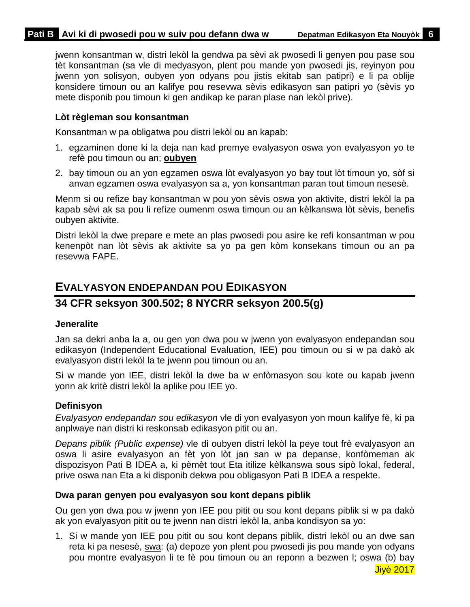jwenn konsantman w, distri lekòl la gendwa pa sèvi ak pwosedi li genyen pou pase sou tèt konsantman (sa vle di medyasyon, plent pou mande yon pwosedi jis, reyinyon pou jwenn yon solisyon, oubyen yon odyans pou jistis ekitab san patipri) e li pa oblije konsidere timoun ou an kalifye pou resevwa sèvis edikasyon san patipri yo (sèvis yo mete disponib pou timoun ki gen andikap ke paran plase nan lekòl prive).

### **Lòt règleman sou konsantman**

Konsantman w pa obligatwa pou distri lekòl ou an kapab:

- 1. egzaminen done ki la deja nan kad premye evalyasyon oswa yon evalyasyon yo te refè pou timoun ou an; **oubyen**
- 2. bay timoun ou an yon egzamen oswa lòt evalyasyon yo bay tout lòt timoun yo, sòf si anvan egzamen oswa evalyasyon sa a, yon konsantman paran tout timoun nesesè.

Menm si ou refize bay konsantman w pou yon sèvis oswa yon aktivite, distri lekòl la pa kapab sèvi ak sa pou li refize oumenm oswa timoun ou an kèlkanswa lòt sèvis, benefis oubyen aktivite.

Distri lekòl la dwe prepare e mete an plas pwosedi pou asire ke refi konsantman w pou kenenpòt nan lòt sèvis ak aktivite sa yo pa gen kòm konsekans timoun ou an pa resevwa FAPE.

# <span id="page-8-0"></span>**EVALYASYON ENDEPANDAN POU EDIKASYON**

## **34 CFR seksyon 300.502; 8 NYCRR seksyon 200.5(g)**

### **Jeneralite**

Jan sa dekri anba la a, ou gen yon dwa pou w jwenn yon evalyasyon endepandan sou edikasyon (Independent Educational Evaluation, IEE) pou timoun ou si w pa dakò ak evalyasyon distri lekòl la te jwenn pou timoun ou an.

Si w mande yon IEE, distri lekòl la dwe ba w enfòmasyon sou kote ou kapab jwenn yonn ak kritè distri lekòl la aplike pou IEE yo.

### **Definisyon**

*Evalyasyon endepandan sou edikasyon* vle di yon evalyasyon yon moun kalifye fè, ki pa anplwaye nan distri ki reskonsab edikasyon pitit ou an.

*Depans piblik (Public expense)* vle di oubyen distri lekòl la peye tout frè evalyasyon an oswa li asire evalyasyon an fèt yon lòt jan san w pa depanse, konfòmeman ak dispozisyon Pati B IDEA a, ki pèmèt tout Eta itilize kèlkanswa sous sipò lokal, federal, prive oswa nan Eta a ki disponib dekwa pou obligasyon Pati B IDEA a respekte.

### **Dwa paran genyen pou evalyasyon sou kont depans piblik**

Ou gen yon dwa pou w jwenn yon IEE pou pitit ou sou kont depans piblik si w pa dakò ak yon evalyasyon pitit ou te jwenn nan distri lekòl la, anba kondisyon sa yo:

1. Si w mande yon IEE pou pitit ou sou kont depans piblik, distri lekòl ou an dwe san reta ki pa nesesè, swa: (a) depoze yon plent pou pwosedi jis pou mande yon odyans pou montre evalyasyon li te fè pou timoun ou an reponn a bezwen l; oswa (b) bay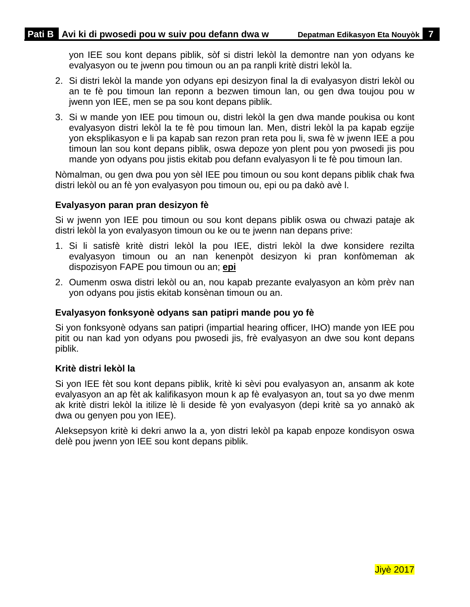yon IEE sou kont depans piblik, sòf si distri lekòl la demontre nan yon odyans ke evalyasyon ou te jwenn pou timoun ou an pa ranpli kritè distri lekòl la.

- 2. Si distri lekòl la mande yon odyans epi desizyon final la di evalyasyon distri lekòl ou an te fè pou timoun lan reponn a bezwen timoun lan, ou gen dwa toujou pou w jwenn yon IEE, men se pa sou kont depans piblik.
- 3. Si w mande yon IEE pou timoun ou, distri lekòl la gen dwa mande poukisa ou kont evalyasyon distri lekòl la te fè pou timoun lan. Men, distri lekòl la pa kapab egzije yon eksplikasyon e li pa kapab san rezon pran reta pou li, swa fè w jwenn IEE a pou timoun lan sou kont depans piblik, oswa depoze yon plent pou yon pwosedi jis pou mande yon odyans pou jistis ekitab pou defann evalyasyon li te fè pou timoun lan.

Nòmalman, ou gen dwa pou yon sèl IEE pou timoun ou sou kont depans piblik chak fwa distri lekòl ou an fè yon evalyasyon pou timoun ou, epi ou pa dakò avè l.

### **Evalyasyon paran pran desizyon fè**

Si w jwenn yon IEE pou timoun ou sou kont depans piblik oswa ou chwazi pataje ak distri lekòl la yon evalyasyon timoun ou ke ou te jwenn nan depans prive:

- 1. Si li satisfè kritè distri lekòl la pou IEE, distri lekòl la dwe konsidere rezilta evalyasyon timoun ou an nan kenenpòt desizyon ki pran konfòmeman ak dispozisyon FAPE pou timoun ou an; **epi**
- 2. Oumenm oswa distri lekòl ou an, nou kapab prezante evalyasyon an kòm prèv nan yon odyans pou jistis ekitab konsènan timoun ou an.

### **Evalyasyon fonksyonè odyans san patipri mande pou yo fè**

Si yon fonksyonè odyans san patipri (impartial hearing officer, IHO) mande yon IEE pou pitit ou nan kad yon odyans pou pwosedi jis, frè evalyasyon an dwe sou kont depans piblik.

### **Kritè distri lekòl la**

Si yon IEE fèt sou kont depans piblik, kritè ki sèvi pou evalyasyon an, ansanm ak kote evalyasyon an ap fèt ak kalifikasyon moun k ap fè evalyasyon an, tout sa yo dwe menm ak kritè distri lekòl la itilize lè li deside fè yon evalyasyon (depi kritè sa yo annakò ak dwa ou genyen pou yon IEE).

Aleksepsyon kritè ki dekri anwo la a, yon distri lekòl pa kapab enpoze kondisyon oswa delè pou jwenn yon IEE sou kont depans piblik.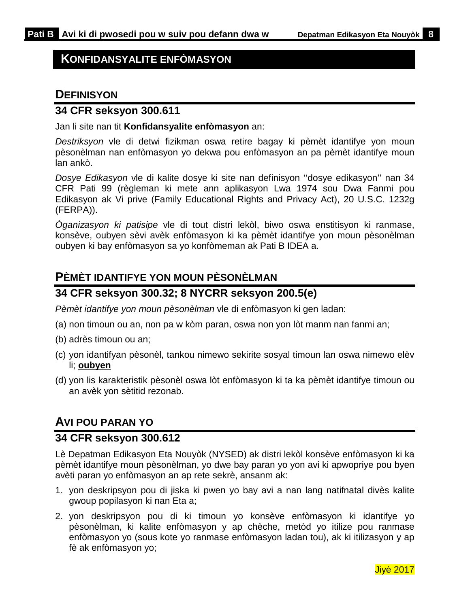### <span id="page-10-0"></span>**KONFIDANSYALITE ENFÒMASYON**

### <span id="page-10-1"></span>**DEFINISYON**

### **34 CFR seksyon 300.611**

Jan li site nan tit **Konfidansyalite enfòmasyon** an:

*Destriksyon* vle di detwi fizikman oswa retire bagay ki pèmèt idantifye yon moun pèsonèlman nan enfòmasyon yo dekwa pou enfòmasyon an pa pèmèt idantifye moun lan ankò.

*Dosye Edikasyon* vle di kalite dosye ki site nan definisyon ''dosye edikasyon'' nan 34 CFR Pati 99 (règleman ki mete ann aplikasyon Lwa 1974 sou Dwa Fanmi pou Edikasyon ak Vi prive (Family Educational Rights and Privacy Act), 20 U.S.C. 1232g (FERPA)).

*Òganizasyon ki patisipe* vle di tout distri lekòl, biwo oswa enstitisyon ki ranmase, konsève, oubyen sèvi avèk enfòmasyon ki ka pèmèt idantifye yon moun pèsonèlman oubyen ki bay enfòmasyon sa yo konfòmeman ak Pati B IDEA a.

## <span id="page-10-2"></span>**PÈMÈT IDANTIFYE YON MOUN PÈSONÈLMAN**

### **34 CFR seksyon 300.32; 8 NYCRR seksyon 200.5(e)**

*Pèmèt idantifye yon moun pèsonèlman* vle di enfòmasyon ki gen ladan:

(a) non timoun ou an, non pa w kòm paran, oswa non yon lòt manm nan fanmi an;

- (b) adrès timoun ou an;
- (c) yon idantifyan pèsonèl, tankou nimewo sekirite sosyal timoun lan oswa nimewo elèv li; **oubyen**
- (d) yon lis karakteristik pèsonèl oswa lòt enfòmasyon ki ta ka pèmèt idantifye timoun ou an avèk yon sètitid rezonab.

# <span id="page-10-3"></span>**AVI POU PARAN YO**

### **34 CFR seksyon 300.612**

Lè Depatman Edikasyon Eta Nouyòk (NYSED) ak distri lekòl konsève enfòmasyon ki ka pèmèt idantifye moun pèsonèlman, yo dwe bay paran yo yon avi ki apwopriye pou byen avèti paran yo enfòmasyon an ap rete sekrè, ansanm ak:

- 1. yon deskripsyon pou di jiska ki pwen yo bay avi a nan lang natifnatal divès kalite gwoup popilasyon ki nan Eta a;
- 2. yon deskripsyon pou di ki timoun yo konsève enfòmasyon ki idantifye yo pèsonèlman, ki kalite enfòmasyon y ap chèche, metòd yo itilize pou ranmase enfòmasyon yo (sous kote yo ranmase enfòmasyon ladan tou), ak ki itilizasyon y ap fè ak enfòmasyon yo;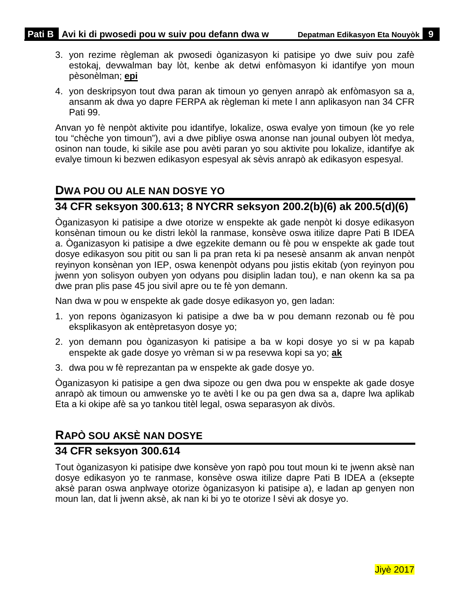- 3. yon rezime règleman ak pwosedi òganizasyon ki patisipe yo dwe suiv pou zafè estokaj, devwalman bay lòt, kenbe ak detwi enfòmasyon ki idantifye yon moun pèsonèlman; **epi**
- 4. yon deskripsyon tout dwa paran ak timoun yo genyen anrapò ak enfòmasyon sa a, ansanm ak dwa yo dapre FERPA ak règleman ki mete l ann aplikasyon nan 34 CFR Pati 99.

Anvan yo fè nenpòt aktivite pou idantifye, lokalize, oswa evalye yon timoun (ke yo rele tou "chèche yon timoun"), avi a dwe pibliye oswa anonse nan jounal oubyen lòt medya, osinon nan toude, ki sikile ase pou avèti paran yo sou aktivite pou lokalize, idantifye ak evalye timoun ki bezwen edikasyon espesyal ak sèvis anrapò ak edikasyon espesyal.

## <span id="page-11-0"></span>**DWA POU OU ALE NAN DOSYE YO**

### **34 CFR seksyon 300.613; 8 NYCRR seksyon 200.2(b)(6) ak 200.5(d)(6)**

Òganizasyon ki patisipe a dwe otorize w enspekte ak gade nenpòt ki dosye edikasyon konsènan timoun ou ke distri lekòl la ranmase, konsève oswa itilize dapre Pati B IDEA a. Òganizasyon ki patisipe a dwe egzekite demann ou fè pou w enspekte ak gade tout dosye edikasyon sou pitit ou san li pa pran reta ki pa nesesè ansanm ak anvan nenpòt reyinyon konsènan yon IEP, oswa kenenpòt odyans pou jistis ekitab (yon reyinyon pou jwenn yon solisyon oubyen yon odyans pou disiplin ladan tou), e nan okenn ka sa pa dwe pran plis pase 45 jou sivil apre ou te fè yon demann.

Nan dwa w pou w enspekte ak gade dosye edikasyon yo, gen ladan:

- 1. yon repons òganizasyon ki patisipe a dwe ba w pou demann rezonab ou fè pou eksplikasyon ak entèpretasyon dosye yo;
- 2. yon demann pou òganizasyon ki patisipe a ba w kopi dosye yo si w pa kapab enspekte ak gade dosye yo vrèman si w pa resevwa kopi sa yo; **ak**
- 3. dwa pou w fè reprezantan pa w enspekte ak gade dosye yo.

Òganizasyon ki patisipe a gen dwa sipoze ou gen dwa pou w enspekte ak gade dosye anrapò ak timoun ou amwenske yo te avèti l ke ou pa gen dwa sa a, dapre lwa aplikab Eta a ki okipe afè sa yo tankou titèl legal, oswa separasyon ak divòs.

# <span id="page-11-1"></span>**RAPÒ SOU AKSÈ NAN DOSYE**

### **34 CFR seksyon 300.614**

Tout òganizasyon ki patisipe dwe konsève yon rapò pou tout moun ki te jwenn aksè nan dosye edikasyon yo te ranmase, konsève oswa itilize dapre Pati B IDEA a (eksepte aksè paran oswa anplwaye otorize òganizasyon ki patisipe a), e ladan ap genyen non moun lan, dat li jwenn aksè, ak nan ki bi yo te otorize l sèvi ak dosye yo.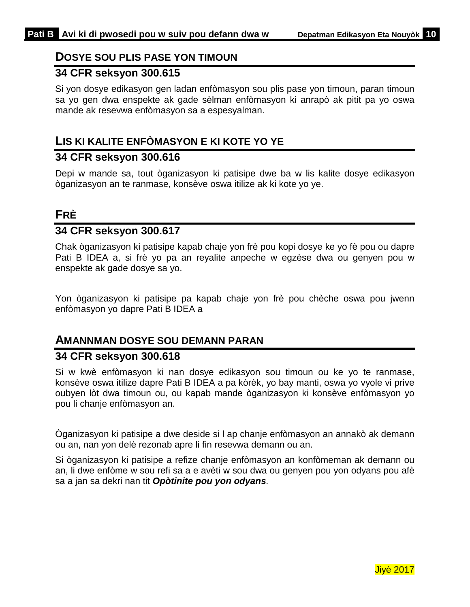### <span id="page-12-0"></span>**DOSYE SOU PLIS PASE YON TIMOUN**

### **34 CFR seksyon 300.615**

Si yon dosye edikasyon gen ladan enfòmasyon sou plis pase yon timoun, paran timoun sa yo gen dwa enspekte ak gade sèlman enfòmasyon ki anrapò ak pitit pa yo oswa mande ak resevwa enfòmasyon sa a espesyalman.

### <span id="page-12-1"></span>**LIS KI KALITE ENFÒMASYON E KI KOTE YO YE**

### **34 CFR seksyon 300.616**

Depi w mande sa, tout òganizasyon ki patisipe dwe ba w lis kalite dosye edikasyon òganizasyon an te ranmase, konsève oswa itilize ak ki kote yo ye.

# <span id="page-12-2"></span>**FRÈ**

# **34 CFR seksyon 300.617**

Chak òganizasyon ki patisipe kapab chaje yon frè pou kopi dosye ke yo fè pou ou dapre Pati B IDEA a, si frè yo pa an reyalite anpeche w egzèse dwa ou genyen pou w enspekte ak gade dosye sa yo.

Yon òganizasyon ki patisipe pa kapab chaje yon frè pou chèche oswa pou jwenn enfòmasyon yo dapre Pati B IDEA a

### <span id="page-12-3"></span>**AMANNMAN DOSYE SOU DEMANN PARAN**

### **34 CFR seksyon 300.618**

Si w kwè enfòmasyon ki nan dosye edikasyon sou timoun ou ke yo te ranmase, konsève oswa itilize dapre Pati B IDEA a pa kòrèk, yo bay manti, oswa yo vyole vi prive oubyen lòt dwa timoun ou, ou kapab mande òganizasyon ki konsève enfòmasyon yo pou li chanje enfòmasyon an.

Òganizasyon ki patisipe a dwe deside si l ap chanje enfòmasyon an annakò ak demann ou an, nan yon delè rezonab apre li fin resevwa demann ou an.

Si òganizasyon ki patisipe a refize chanje enfòmasyon an konfòmeman ak demann ou an, li dwe enfòme w sou refi sa a e avèti w sou dwa ou genyen pou yon odyans pou afè sa a jan sa dekri nan tit *Opòtinite pou yon odyans.*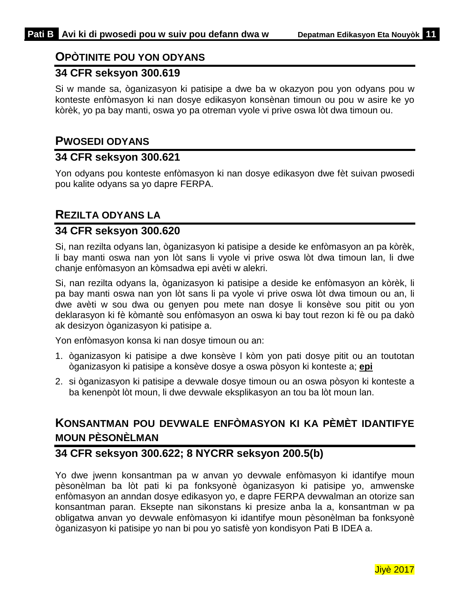## <span id="page-13-0"></span>**OPÒTINITE POU YON ODYANS**

### **34 CFR seksyon 300.619**

Si w mande sa, òganizasyon ki patisipe a dwe ba w okazyon pou yon odyans pou w konteste enfòmasyon ki nan dosye edikasyon konsènan timoun ou pou w asire ke yo kòrèk, yo pa bay manti, oswa yo pa otreman vyole vi prive oswa lòt dwa timoun ou.

### <span id="page-13-1"></span>**PWOSEDI ODYANS**

### **34 CFR seksyon 300.621**

Yon odyans pou konteste enfòmasyon ki nan dosye edikasyon dwe fèt suivan pwosedi pou kalite odyans sa yo dapre FERPA.

### <span id="page-13-2"></span>**REZILTA ODYANS LA**

### **34 CFR seksyon 300.620**

Si, nan rezilta odyans lan, òganizasyon ki patisipe a deside ke enfòmasyon an pa kòrèk, li bay manti oswa nan yon lòt sans li vyole vi prive oswa lòt dwa timoun lan, li dwe chanje enfòmasyon an kòmsadwa epi avèti w alekri.

Si, nan rezilta odyans la, òganizasyon ki patisipe a deside ke enfòmasyon an kòrèk, li pa bay manti oswa nan yon lòt sans li pa vyole vi prive oswa lòt dwa timoun ou an, li dwe avèti w sou dwa ou genyen pou mete nan dosye li konsève sou pitit ou yon deklarasyon ki fè kòmantè sou enfòmasyon an oswa ki bay tout rezon ki fè ou pa dakò ak desizyon òganizasyon ki patisipe a.

Yon enfòmasyon konsa ki nan dosye timoun ou an:

- 1. òganizasyon ki patisipe a dwe konsève l kòm yon pati dosye pitit ou an toutotan òganizasyon ki patisipe a konsève dosye a oswa pòsyon ki konteste a; **epi**
- 2. si òganizasyon ki patisipe a devwale dosye timoun ou an oswa pòsyon ki konteste a ba kenenpòt lòt moun, li dwe devwale eksplikasyon an tou ba lòt moun lan.

# <span id="page-13-3"></span>**KONSANTMAN POU DEVWALE ENFÒMASYON KI KA PÈMÈT IDANTIFYE MOUN PÈSONÈLMAN**

# **34 CFR seksyon 300.622; 8 NYCRR seksyon 200.5(b)**

Yo dwe jwenn konsantman pa w anvan yo devwale enfòmasyon ki idantifye moun pèsonèlman ba lòt pati ki pa fonksyonè òganizasyon ki patisipe yo, amwenske enfòmasyon an anndan dosye edikasyon yo, e dapre FERPA devwalman an otorize san konsantman paran. Eksepte nan sikonstans ki presize anba la a, konsantman w pa obligatwa anvan yo devwale enfòmasyon ki idantifye moun pèsonèlman ba fonksyonè òganizasyon ki patisipe yo nan bi pou yo satisfè yon kondisyon Pati B IDEA a.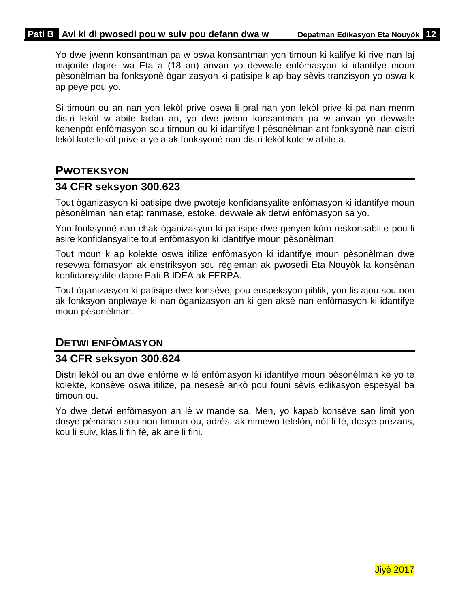Yo dwe jwenn konsantman pa w oswa konsantman yon timoun ki kalifye ki rive nan laj majorite dapre lwa Eta a (18 an) anvan yo devwale enfòmasyon ki idantifye moun pèsonèlman ba fonksyonè òganizasyon ki patisipe k ap bay sèvis tranzisyon yo oswa k ap peye pou yo.

Si timoun ou an nan yon lekòl prive oswa li pral nan yon lekòl prive ki pa nan menm distri lekòl w abite ladan an, yo dwe jwenn konsantman pa w anvan yo devwale kenenpòt enfòmasyon sou timoun ou ki idantifye l pèsonèlman ant fonksyonè nan distri lekòl kote lekòl prive a ye a ak fonksyonè nan distri lekòl kote w abite a.

## <span id="page-14-0"></span>**PWOTEKSYON**

### **34 CFR seksyon 300.623**

Tout òganizasyon ki patisipe dwe pwoteje konfidansyalite enfòmasyon ki idantifye moun pèsonèlman nan etap ranmase, estoke, devwale ak detwi enfòmasyon sa yo.

Yon fonksyonè nan chak òganizasyon ki patisipe dwe genyen kòm reskonsablite pou li asire konfidansyalite tout enfòmasyon ki idantifye moun pèsonèlman.

Tout moun k ap kolekte oswa itilize enfòmasyon ki idantifye moun pèsonèlman dwe resevwa fòmasyon ak enstriksyon sou règleman ak pwosedi Eta Nouyòk la konsènan konfidansyalite dapre Pati B IDEA ak FERPA.

Tout òganizasyon ki patisipe dwe konsève, pou enspeksyon piblik, yon lis ajou sou non ak fonksyon anplwaye ki nan òganizasyon an ki gen aksè nan enfòmasyon ki idantifye moun pèsonèlman.

# <span id="page-14-1"></span>**DETWI ENFÒMASYON**

### **34 CFR seksyon 300.624**

Distri lekòl ou an dwe enfòme w lè enfòmasyon ki idantifye moun pèsonèlman ke yo te kolekte, konsève oswa itilize, pa nesesè ankò pou founi sèvis edikasyon espesyal ba timoun ou.

Yo dwe detwi enfòmasyon an lè w mande sa. Men, yo kapab konsève san limit yon dosye pèmanan sou non timoun ou, adrès, ak nimewo telefòn, nòt li fè, dosye prezans, kou li suiv, klas li fin fè, ak ane li fini.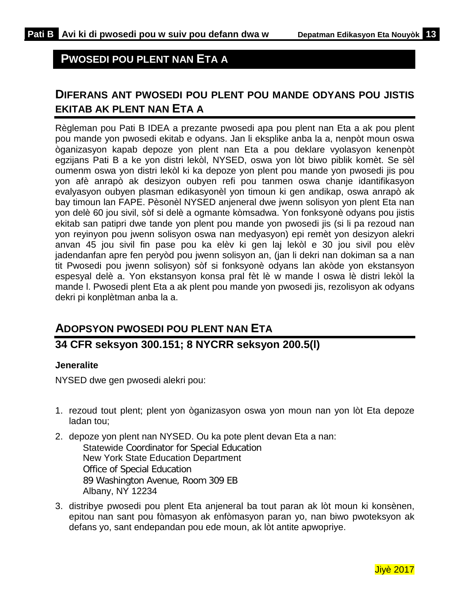### <span id="page-15-0"></span>**PWOSEDI POU PLENT NAN ETA A**

# <span id="page-15-1"></span>**DIFERANS ANT PWOSEDI POU PLENT POU MANDE ODYANS POU JISTIS EKITAB AK PLENT NAN ETA A**

Règleman pou Pati B IDEA a prezante pwosedi apa pou plent nan Eta a ak pou plent pou mande yon pwosedi ekitab e odyans. Jan li eksplike anba la a, nenpòt moun oswa òganizasyon kapab depoze yon plent nan Eta a pou deklare vyolasyon kenenpòt egzijans Pati B a ke yon distri lekòl, NYSED, oswa yon lòt biwo piblik komèt. Se sèl oumenm oswa yon distri lekòl ki ka depoze yon plent pou mande yon pwosedi jis pou yon afè anrapò ak desizyon oubyen refi pou tanmen oswa chanje idantifikasyon evalyasyon oubyen plasman edikasyonèl yon timoun ki gen andikap, oswa anrapò ak bay timoun lan FAPE. Pèsonèl NYSED anjeneral dwe jwenn solisyon yon plent Eta nan yon delè 60 jou sivil, sòf si delè a ogmante kòmsadwa. Yon fonksyonè odyans pou jistis ekitab san patipri dwe tande yon plent pou mande yon pwosedi jis (si li pa rezoud nan yon reyinyon pou jwenn solisyon oswa nan medyasyon) epi remèt yon desizyon alekri anvan 45 jou sivil fin pase pou ka elèv ki gen laj lekòl e 30 jou sivil pou elèv jadendanfan apre fen peryòd pou jwenn solisyon an, (jan li dekri nan dokiman sa a nan tit Pwosedi pou jwenn solisyon) sòf si fonksyonè odyans lan akòde yon ekstansyon espesyal delè a. Yon ekstansyon konsa pral fèt lè w mande l oswa lè distri lekòl la mande l. Pwosedi plent Eta a ak plent pou mande yon pwosedi jis, rezolisyon ak odyans dekri pi konplètman anba la a.

### <span id="page-15-2"></span>**ADOPSYON PWOSEDI POU PLENT NAN ETA**

### **34 CFR seksyon 300.151; 8 NYCRR seksyon 200.5(l)**

### **Jeneralite**

NYSED dwe gen pwosedi alekri pou:

- 1. rezoud tout plent; plent yon òganizasyon oswa yon moun nan yon lòt Eta depoze ladan tou;
- 2. depoze yon plent nan NYSED. Ou ka pote plent devan Eta a nan: Statewide Coordinator for Special Education New York State Education Department Office of Special Education 89 Washington Avenue, Room 309 EB Albany, NY 12234
- 3. distribye pwosedi pou plent Eta anjeneral ba tout paran ak lòt moun ki konsènen, epitou nan sant pou fòmasyon ak enfòmasyon paran yo, nan biwo pwoteksyon ak defans yo, sant endepandan pou ede moun, ak lòt antite apwopriye.

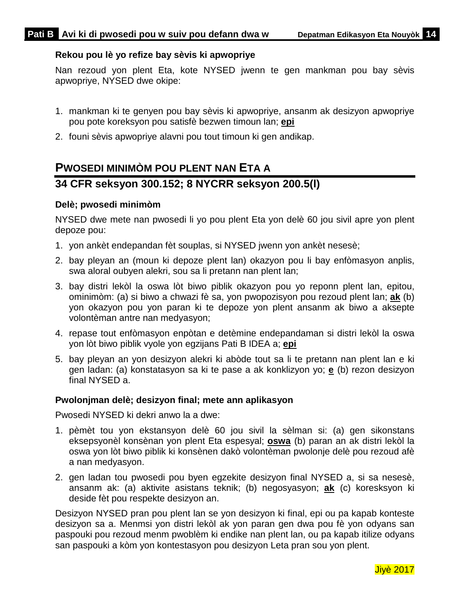### **Rekou pou lè yo refize bay sèvis ki apwopriye**

Nan rezoud yon plent Eta, kote NYSED jwenn te gen mankman pou bay sèvis apwopriye, NYSED dwe okipe:

- 1. mankman ki te genyen pou bay sèvis ki apwopriye, ansanm ak desizyon apwopriye pou pote koreksyon pou satisfè bezwen timoun lan; **epi**
- <span id="page-16-0"></span>2. founi sèvis apwopriye alavni pou tout timoun ki gen andikap.

# **PWOSEDI MINIMÒM POU PLENT NAN ETA A**

### **34 CFR seksyon 300.152; 8 NYCRR seksyon 200.5(l)**

### **Delè; pwosedi minimòm**

NYSED dwe mete nan pwosedi li yo pou plent Eta yon delè 60 jou sivil apre yon plent depoze pou:

- 1. yon ankèt endepandan fèt souplas, si NYSED jwenn yon ankèt nesesè;
- 2. bay pleyan an (moun ki depoze plent lan) okazyon pou li bay enfòmasyon anplis, swa aloral oubyen alekri, sou sa li pretann nan plent lan;
- 3. bay distri lekòl la oswa lòt biwo piblik okazyon pou yo reponn plent lan, epitou, ominimòm: (a) si biwo a chwazi fè sa, yon pwopozisyon pou rezoud plent lan; **ak** (b) yon okazyon pou yon paran ki te depoze yon plent ansanm ak biwo a aksepte volontèman antre nan medyasyon;
- 4. repase tout enfòmasyon enpòtan e detèmine endepandaman si distri lekòl la oswa yon lòt biwo piblik vyole yon egzijans Pati B IDEA a; **epi**
- 5. bay pleyan an yon desizyon alekri ki abòde tout sa li te pretann nan plent lan e ki gen ladan: (a) konstatasyon sa ki te pase a ak konklizyon yo; **e** (b) rezon desizyon final NYSED a.

#### **Pwolonjman delè; desizyon final; mete ann aplikasyon**

Pwosedi NYSED ki dekri anwo la a dwe:

- 1. pèmèt tou yon ekstansyon delè 60 jou sivil la sèlman si: (a) gen sikonstans eksepsyonèl konsènan yon plent Eta espesyal; **oswa** (b) paran an ak distri lekòl la oswa yon lòt biwo piblik ki konsènen dakò volontèman pwolonje delè pou rezoud afè a nan medyasyon.
- 2. gen ladan tou pwosedi pou byen egzekite desizyon final NYSED a, si sa nesesè, ansanm ak: (a) aktivite asistans teknik; (b) negosyasyon; **ak** (c) koresksyon ki deside fèt pou respekte desizyon an.

Desizyon NYSED pran pou plent lan se yon desizyon ki final, epi ou pa kapab konteste desizyon sa a. Menmsi yon distri lekòl ak yon paran gen dwa pou fè yon odyans san paspouki pou rezoud menm pwoblèm ki endike nan plent lan, ou pa kapab itilize odyans san paspouki a kòm yon kontestasyon pou desizyon Leta pran sou yon plent.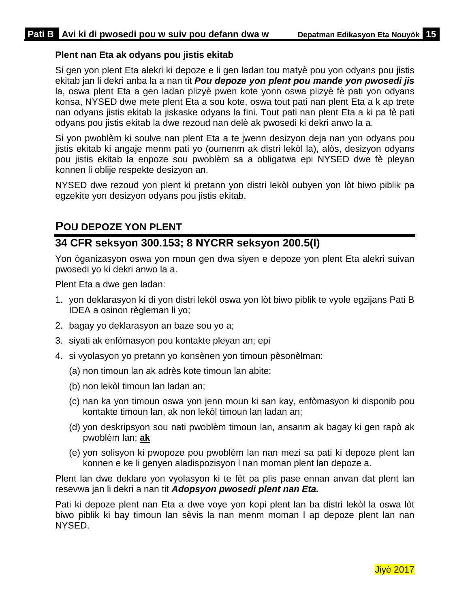### **Plent nan Eta ak odyans pou jistis ekitab**

Si gen yon plent Eta alekri ki depoze e li gen ladan tou matyè pou yon odyans pou jistis ekitab jan li dekri anba la a nan tit *Pou depoze yon plent pou mande yon pwosedi jis* la, oswa plent Eta a gen ladan plizyè pwen kote yonn oswa plizyè fè pati yon odyans konsa, NYSED dwe mete plent Eta a sou kote, oswa tout pati nan plent Eta a k ap trete nan odyans jistis ekitab la jiskaske odyans la fini. Tout pati nan plent Eta a ki pa fè pati odyans pou jistis ekitab la dwe rezoud nan delè ak pwosedi ki dekri anwo la a.

Si yon pwoblèm ki soulve nan plent Eta a te jwenn desizyon deja nan yon odyans pou jistis ekitab ki angaje menm pati yo (oumenm ak distri lekòl la), alòs, desizyon odyans pou jistis ekitab la enpoze sou pwoblèm sa a obligatwa epi NYSED dwe fè pleyan konnen li oblije respekte desizyon an.

NYSED dwe rezoud yon plent ki pretann yon distri lekòl oubyen yon lòt biwo piblik pa egzekite yon desizyon odyans pou jistis ekitab.

### <span id="page-17-0"></span>**POU DEPOZE YON PLENT**

# **34 CFR seksyon 300.153; 8 NYCRR seksyon 200.5(l)**

Yon òganizasyon oswa yon moun gen dwa siyen e depoze yon plent Eta alekri suivan pwosedi yo ki dekri anwo la a.

Plent Eta a dwe gen ladan:

- 1. yon deklarasyon ki di yon distri lekòl oswa yon lòt biwo piblik te vyole egzijans Pati B IDEA a osinon règleman li yo;
- 2. bagay yo deklarasyon an baze sou yo a;
- 3. siyati ak enfòmasyon pou kontakte pleyan an; epi
- 4. si vyolasyon yo pretann yo konsènen yon timoun pèsonèlman:
	- (a) non timoun lan ak adrès kote timoun lan abite;
	- (b) non lekòl timoun lan ladan an;
	- (c) nan ka yon timoun oswa yon jenn moun ki san kay, enfòmasyon ki disponib pou kontakte timoun lan, ak non lekòl timoun lan ladan an;
	- (d) yon deskripsyon sou nati pwoblèm timoun lan, ansanm ak bagay ki gen rapò ak pwoblèm lan; **ak**
	- (e) yon solisyon ki pwopoze pou pwoblèm lan nan mezi sa pati ki depoze plent lan konnen e ke li genyen aladispozisyon l nan moman plent lan depoze a.

Plent lan dwe deklare yon vyolasyon ki te fèt pa plis pase ennan anvan dat plent lan resevwa jan li dekri a nan tit *Adopsyon pwosedi plent nan Eta.*

Pati ki depoze plent nan Eta a dwe voye yon kopi plent lan ba distri lekòl la oswa lòt biwo piblik ki bay timoun lan sèvis la nan menm moman l ap depoze plent lan nan NYSED.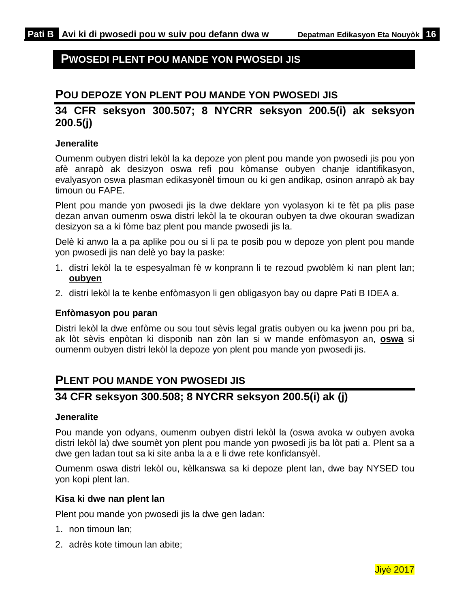### <span id="page-18-0"></span>**PWOSEDI PLENT POU MANDE YON PWOSEDI JIS**

### <span id="page-18-1"></span>**POU DEPOZE YON PLENT POU MANDE YON PWOSEDI JIS**

### **34 CFR seksyon 300.507; 8 NYCRR seksyon 200.5(i) ak seksyon 200.5(j)**

### **Jeneralite**

Oumenm oubyen distri lekòl la ka depoze yon plent pou mande yon pwosedi jis pou yon afè anrapò ak desizyon oswa refi pou kòmanse oubyen chanje idantifikasyon, evalyasyon oswa plasman edikasyonèl timoun ou ki gen andikap, osinon anrapò ak bay timoun ou FAPE.

Plent pou mande yon pwosedi jis la dwe deklare yon vyolasyon ki te fèt pa plis pase dezan anvan oumenm oswa distri lekòl la te okouran oubyen ta dwe okouran swadizan desizyon sa a ki fòme baz plent pou mande pwosedi jis la.

Delè ki anwo la a pa aplike pou ou si li pa te posib pou w depoze yon plent pou mande yon pwosedi jis nan delè yo bay la paske:

- 1. distri lekòl la te espesyalman fè w konprann li te rezoud pwoblèm ki nan plent lan; **oubyen**
- 2. distri lekòl la te kenbe enfòmasyon li gen obligasyon bay ou dapre Pati B IDEA a.

#### **Enfòmasyon pou paran**

Distri lekòl la dwe enfòme ou sou tout sèvis legal gratis oubyen ou ka jwenn pou pri ba, ak lòt sèvis enpòtan ki disponib nan zòn lan si w mande enfòmasyon an, **oswa** si oumenm oubyen distri lekòl la depoze yon plent pou mande yon pwosedi jis.

### <span id="page-18-2"></span>**PLENT POU MANDE YON PWOSEDI JIS**

### **34 CFR seksyon 300.508; 8 NYCRR seksyon 200.5(i) ak (j)**

#### **Jeneralite**

Pou mande yon odyans, oumenm oubyen distri lekòl la (oswa avoka w oubyen avoka distri lekòl la) dwe soumèt yon plent pou mande yon pwosedi jis ba lòt pati a. Plent sa a dwe gen ladan tout sa ki site anba la a e li dwe rete konfidansyèl.

Oumenm oswa distri lekòl ou, kèlkanswa sa ki depoze plent lan, dwe bay NYSED tou yon kopi plent lan.

#### **Kisa ki dwe nan plent lan**

Plent pou mande yon pwosedi jis la dwe gen ladan:

- 1. non timoun lan;
- 2. adrès kote timoun lan abite;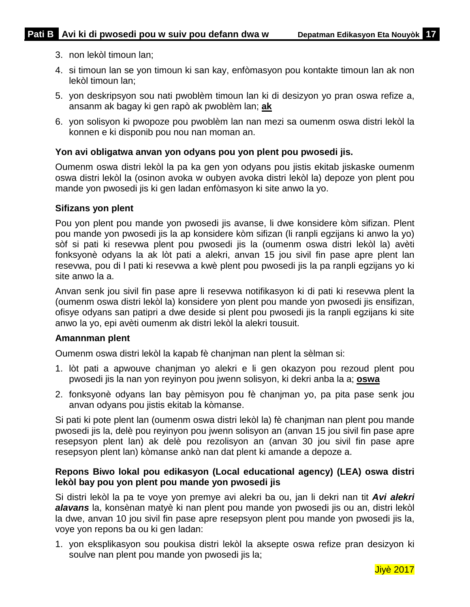- 3. non lekòl timoun lan;
- 4. si timoun lan se yon timoun ki san kay, enfòmasyon pou kontakte timoun lan ak non lekòl timoun lan;
- 5. yon deskripsyon sou nati pwoblèm timoun lan ki di desizyon yo pran oswa refize a, ansanm ak bagay ki gen rapò ak pwoblèm lan; **ak**
- 6. yon solisyon ki pwopoze pou pwoblèm lan nan mezi sa oumenm oswa distri lekòl la konnen e ki disponib pou nou nan moman an.

### **Yon avi obligatwa anvan yon odyans pou yon plent pou pwosedi jis.**

Oumenm oswa distri lekòl la pa ka gen yon odyans pou jistis ekitab jiskaske oumenm oswa distri lekòl la (osinon avoka w oubyen avoka distri lekòl la) depoze yon plent pou mande yon pwosedi jis ki gen ladan enfòmasyon ki site anwo la yo.

#### **Sifizans yon plent**

Pou yon plent pou mande yon pwosedi jis avanse, li dwe konsidere kòm sifizan. Plent pou mande yon pwosedi jis la ap konsidere kòm sifizan (li ranpli egzijans ki anwo la yo) sòf si pati ki resevwa plent pou pwosedi jis la (oumenm oswa distri lekòl la) avèti fonksyonè odyans la ak lòt pati a alekri, anvan 15 jou sivil fin pase apre plent lan resevwa, pou di l pati ki resevwa a kwè plent pou pwosedi jis la pa ranpli egzijans yo ki site anwo la a.

Anvan senk jou sivil fin pase apre li resevwa notifikasyon ki di pati ki resevwa plent la (oumenm oswa distri lekòl la) konsidere yon plent pou mande yon pwosedi jis ensifizan, ofisye odyans san patipri a dwe deside si plent pou pwosedi jis la ranpli egzijans ki site anwo la yo, epi avèti oumenm ak distri lekòl la alekri tousuit.

#### **Amannman plent**

Oumenm oswa distri lekòl la kapab fè chanjman nan plent la sèlman si:

- 1. lòt pati a apwouve chanjman yo alekri e li gen okazyon pou rezoud plent pou pwosedi jis la nan yon reyinyon pou jwenn solisyon, ki dekri anba la a; **oswa**
- 2. fonksyonè odyans lan bay pèmisyon pou fè chanjman yo, pa pita pase senk jou anvan odyans pou jistis ekitab la kòmanse.

Si pati ki pote plent lan (oumenm oswa distri lekòl la) fè chanjman nan plent pou mande pwosedi jis la, delè pou reyinyon pou jwenn solisyon an (anvan 15 jou sivil fin pase apre resepsyon plent lan) ak delè pou rezolisyon an (anvan 30 jou sivil fin pase apre resepsyon plent lan) kòmanse ankò nan dat plent ki amande a depoze a.

#### **Repons Biwo lokal pou edikasyon (Local educational agency) (LEA) oswa distri lekòl bay pou yon plent pou mande yon pwosedi jis**

Si distri lekòl la pa te voye yon premye avi alekri ba ou, jan li dekri nan tit *Avi alekri alavans* la, konsènan matyè ki nan plent pou mande yon pwosedi jis ou an, distri lekòl la dwe, anvan 10 jou sivil fin pase apre resepsyon plent pou mande yon pwosedi jis la, voye yon repons ba ou ki gen ladan:

1. yon eksplikasyon sou poukisa distri lekòl la aksepte oswa refize pran desizyon ki soulve nan plent pou mande yon pwosedi jis la;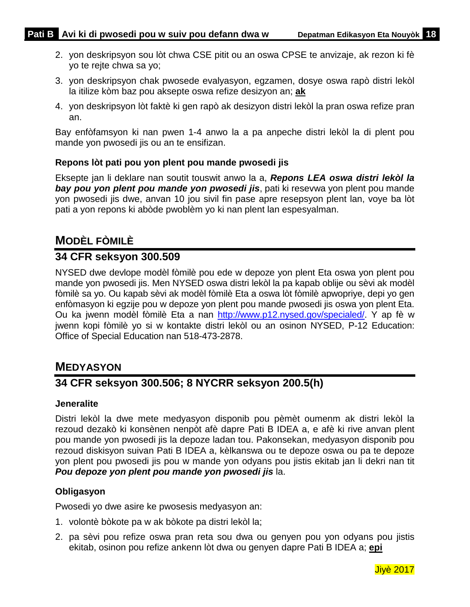- 2. yon deskripsyon sou lòt chwa CSE pitit ou an oswa CPSE te anvizaje, ak rezon ki fè yo te rejte chwa sa yo;
- 3. yon deskripsyon chak pwosede evalyasyon, egzamen, dosye oswa rapò distri lekòl la itilize kòm baz pou aksepte oswa refize desizyon an; **ak**
- 4. yon deskripsyon lòt faktè ki gen rapò ak desizyon distri lekòl la pran oswa refize pran an.

Bay enfòfamsyon ki nan pwen 1-4 anwo la a pa anpeche distri lekòl la di plent pou mande yon pwosedi jis ou an te ensifizan.

### **Repons lòt pati pou yon plent pou mande pwosedi jis**

Eksepte jan li deklare nan soutit touswit anwo la a, *Repons LEA oswa distri lekòl la bay pou yon plent pou mande yon pwosedi jis*, pati ki resevwa yon plent pou mande yon pwosedi jis dwe, anvan 10 jou sivil fin pase apre resepsyon plent lan, voye ba lòt pati a yon repons ki abòde pwoblèm yo ki nan plent lan espesyalman.

# <span id="page-20-0"></span>**MODÈL FÒMILÈ**

### **34 CFR seksyon 300.509**

NYSED dwe devlope modèl fòmilè pou ede w depoze yon plent Eta oswa yon plent pou mande yon pwosedi jis. Men NYSED oswa distri lekòl la pa kapab oblije ou sèvi ak modèl fòmilè sa yo. Ou kapab sèvi ak modèl fòmilè Eta a oswa lòt fòmilè apwopriye, depi yo gen enfòmasyon ki egzije pou w depoze yon plent pou mande pwosedi jis oswa yon plent Eta. Ou ka jwenn modèl fòmilè Eta a nan [http://www.p12.nysed.gov/specialed/.](http://www.vesid.nysed.gov/specialed/) Y ap fè w jwenn kopi fòmilè yo si w kontakte distri lekòl ou an osinon NYSED, P-12 Education: Office of Special Education nan 518-473-2878.

# <span id="page-20-1"></span>**MEDYASYON**

### **34 CFR seksyon 300.506; 8 NYCRR seksyon 200.5(h)**

### **Jeneralite**

Distri lekòl la dwe mete medyasyon disponib pou pèmèt oumenm ak distri lekòl la rezoud dezakò ki konsènen nenpòt afè dapre Pati B IDEA a, e afè ki rive anvan plent pou mande yon pwosedi jis la depoze ladan tou. Pakonsekan, medyasyon disponib pou rezoud diskisyon suivan Pati B IDEA a, kèlkanswa ou te depoze oswa ou pa te depoze yon plent pou pwosedi jis pou w mande yon odyans pou jistis ekitab jan li dekri nan tit *Pou depoze yon plent pou mande yon pwosedi jis* la.

### **Obligasyon**

Pwosedi yo dwe asire ke pwosesis medyasyon an:

- 1. volontè bòkote pa w ak bòkote pa distri lekòl la;
- 2. pa sèvi pou refize oswa pran reta sou dwa ou genyen pou yon odyans pou jistis ekitab, osinon pou refize ankenn lòt dwa ou genyen dapre Pati B IDEA a; **epi**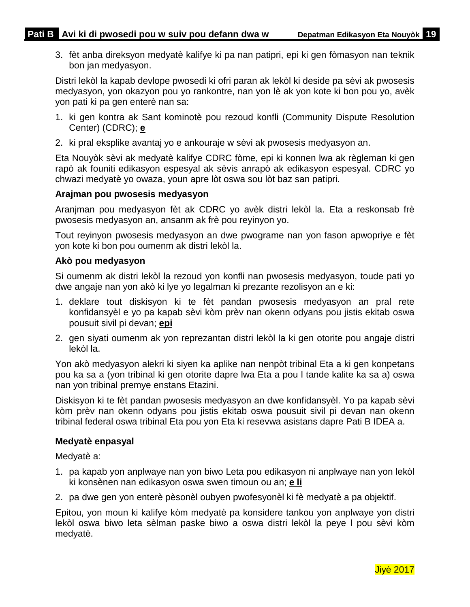3. fèt anba direksyon medyatè kalifye ki pa nan patipri, epi ki gen fòmasyon nan teknik bon jan medyasyon.

Distri lekòl la kapab devlope pwosedi ki ofri paran ak lekòl ki deside pa sèvi ak pwosesis medyasyon, yon okazyon pou yo rankontre, nan yon lè ak yon kote ki bon pou yo, avèk yon pati ki pa gen enterè nan sa:

- 1. ki gen kontra ak Sant kominotè pou rezoud konfli (Community Dispute Resolution Center) (CDRC); **e**
- 2. ki pral eksplike avantaj yo e ankouraje w sèvi ak pwosesis medyasyon an.

Eta Nouyòk sèvi ak medyatè kalifye CDRC fòme, epi ki konnen lwa ak règleman ki gen rapò ak founiti edikasyon espesyal ak sèvis anrapò ak edikasyon espesyal. CDRC yo chwazi medyatè yo owaza, youn apre lòt oswa sou lòt baz san patipri.

### **Arajman pou pwosesis medyasyon**

Aranjman pou medyasyon fèt ak CDRC yo avèk distri lekòl la. Eta a reskonsab frè pwosesis medyasyon an, ansanm ak frè pou reyinyon yo.

Tout reyinyon pwosesis medyasyon an dwe pwograme nan yon fason apwopriye e fèt yon kote ki bon pou oumenm ak distri lekòl la.

#### **Akò pou medyasyon**

Si oumenm ak distri lekòl la rezoud yon konfli nan pwosesis medyasyon, toude pati yo dwe angaje nan yon akò ki lye yo legalman ki prezante rezolisyon an e ki:

- 1. deklare tout diskisyon ki te fèt pandan pwosesis medyasyon an pral rete konfidansyèl e yo pa kapab sèvi kòm prèv nan okenn odyans pou jistis ekitab oswa pousuit sivil pi devan; **epi**
- 2. gen siyati oumenm ak yon reprezantan distri lekòl la ki gen otorite pou angaje distri lekòl la.

Yon akò medyasyon alekri ki siyen ka aplike nan nenpòt tribinal Eta a ki gen konpetans pou ka sa a (yon tribinal ki gen otorite dapre lwa Eta a pou l tande kalite ka sa a) oswa nan yon tribinal premye enstans Etazini.

Diskisyon ki te fèt pandan pwosesis medyasyon an dwe konfidansyèl. Yo pa kapab sèvi kòm prèv nan okenn odyans pou jistis ekitab oswa pousuit sivil pi devan nan okenn tribinal federal oswa tribinal Eta pou yon Eta ki resevwa asistans dapre Pati B IDEA a.

#### **Medyatè enpasyal**

Medyatè a:

- 1. pa kapab yon anplwaye nan yon biwo Leta pou edikasyon ni anplwaye nan yon lekòl ki konsènen nan edikasyon oswa swen timoun ou an; **e li**
- 2. pa dwe gen yon enterè pèsonèl oubyen pwofesyonèl ki fè medyatè a pa objektif.

Epitou, yon moun ki kalifye kòm medyatè pa konsidere tankou yon anplwaye yon distri lekòl oswa biwo leta sèlman paske biwo a oswa distri lekòl la peye l pou sèvi kòm medyatè.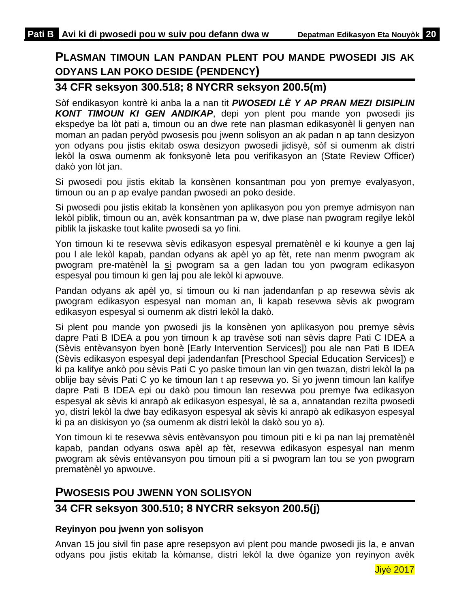# <span id="page-22-0"></span>**PLASMAN TIMOUN LAN PANDAN PLENT POU MANDE PWOSEDI JIS AK ODYANS LAN POKO DESIDE (PENDENCY)**

### **34 CFR seksyon 300.518; 8 NYCRR seksyon 200.5(m)**

Sòf endikasyon kontrè ki anba la a nan tit *PWOSEDI LÈ Y AP PRAN MEZI DISIPLIN KONT TIMOUN KI GEN ANDIKAP*, depi yon plent pou mande yon pwosedi jis ekspedye ba lòt pati a, timoun ou an dwe rete nan plasman edikasyonèl li genyen nan moman an padan peryòd pwosesis pou jwenn solisyon an ak padan n ap tann desizyon yon odyans pou jistis ekitab oswa desizyon pwosedi jidisyè, sòf si oumenm ak distri lekòl la oswa oumenm ak fonksyonè leta pou verifikasyon an (State Review Officer) dakò yon lòt jan.

Si pwosedi pou jistis ekitab la konsènen konsantman pou yon premye evalyasyon, timoun ou an p ap evalye pandan pwosedi an poko deside.

Si pwosedi pou jistis ekitab la konsènen yon aplikasyon pou yon premye admisyon nan lekòl piblik, timoun ou an, avèk konsantman pa w, dwe plase nan pwogram regilye lekòl piblik la jiskaske tout kalite pwosedi sa yo fini.

Yon timoun ki te resevwa sèvis edikasyon espesyal prematènèl e ki kounye a gen laj pou l ale lekòl kapab, pandan odyans ak apèl yo ap fèt, rete nan menm pwogram ak pwogram pre-matènèl la si pwogram sa a gen ladan tou yon pwogram edikasyon espesyal pou timoun ki gen laj pou ale lekòl ki apwouve.

Pandan odyans ak apèl yo, si timoun ou ki nan jadendanfan p ap resevwa sèvis ak pwogram edikasyon espesyal nan moman an, li kapab resevwa sèvis ak pwogram edikasyon espesyal si oumenm ak distri lekòl la dakò.

Si plent pou mande yon pwosedi jis la konsènen yon aplikasyon pou premye sèvis dapre Pati B IDEA a pou yon timoun k ap travèse soti nan sèvis dapre Pati C IDEA a (Sèvis entèvansyon byen bonè [Early Intervention Services]) pou ale nan Pati B IDEA (Sèvis edikasyon espesyal depi jadendanfan [Preschool Special Education Services]) e ki pa kalifye ankò pou sèvis Pati C yo paske timoun lan vin gen twazan, distri lekòl la pa oblije bay sèvis Pati C yo ke timoun lan t ap resevwa yo. Si yo jwenn timoun lan kalifye dapre Pati B IDEA epi ou dakò pou timoun lan resevwa pou premye fwa edikasyon espesyal ak sèvis ki anrapò ak edikasyon espesyal, lè sa a, annatandan rezilta pwosedi yo, distri lekòl la dwe bay edikasyon espesyal ak sèvis ki anrapò ak edikasyon espesyal ki pa an diskisyon yo (sa oumenm ak distri lekòl la dakò sou yo a).

Yon timoun ki te resevwa sèvis entèvansyon pou timoun piti e ki pa nan laj prematènèl kapab, pandan odyans oswa apèl ap fèt, resevwa edikasyon espesyal nan menm pwogram ak sèvis entèvansyon pou timoun piti a si pwogram lan tou se yon pwogram prematènèl yo apwouve.

### <span id="page-22-1"></span>**PWOSESIS POU JWENN YON SOLISYON**

### **34 CFR seksyon 300.510; 8 NYCRR seksyon 200.5(j)**

### **Reyinyon pou jwenn yon solisyon**

Anvan 15 jou sivil fin pase apre resepsyon avi plent pou mande pwosedi jis la, e anvan odyans pou jistis ekitab la kòmanse, distri lekòl la dwe òganize yon reyinyon avèk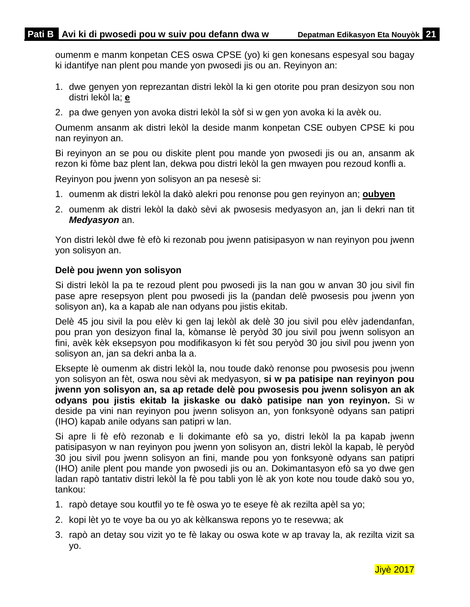oumenm e manm konpetan CES oswa CPSE (yo) ki gen konesans espesyal sou bagay ki idantifye nan plent pou mande yon pwosedi jis ou an. Reyinyon an:

- 1. dwe genyen yon reprezantan distri lekòl la ki gen otorite pou pran desizyon sou non distri lekòl la; **e**
- 2. pa dwe genyen yon avoka distri lekòl la sòf si w gen yon avoka ki la avèk ou.

Oumenm ansanm ak distri lekòl la deside manm konpetan CSE oubyen CPSE ki pou nan reyinyon an.

Bi reyinyon an se pou ou diskite plent pou mande yon pwosedi jis ou an, ansanm ak rezon ki fòme baz plent lan, dekwa pou distri lekòl la gen mwayen pou rezoud konfli a.

Reyinyon pou jwenn yon solisyon an pa nesesè si:

- 1. oumenm ak distri lekòl la dakò alekri pou renonse pou gen reyinyon an; **oubyen**
- 2. oumenm ak distri lekòl la dakò sèvi ak pwosesis medyasyon an, jan li dekri nan tit *Medyasyon* an.

Yon distri lekòl dwe fè efò ki rezonab pou jwenn patisipasyon w nan reyinyon pou jwenn yon solisyon an.

#### **Delè pou jwenn yon solisyon**

Si distri lekòl la pa te rezoud plent pou pwosedi jis la nan gou w anvan 30 jou sivil fin pase apre resepsyon plent pou pwosedi jis la (pandan delè pwosesis pou jwenn yon solisyon an), ka a kapab ale nan odyans pou jistis ekitab.

Delè 45 jou sivil la pou elèv ki gen laj lekòl ak delè 30 jou sivil pou elèv jadendanfan, pou pran yon desizyon final la, kòmanse lè peryòd 30 jou sivil pou jwenn solisyon an fini, avèk kèk eksepsyon pou modifikasyon ki fèt sou peryòd 30 jou sivil pou jwenn yon solisyon an, jan sa dekri anba la a.

Eksepte lè oumenm ak distri lekòl la, nou toude dakò renonse pou pwosesis pou jwenn yon solisyon an fèt, oswa nou sèvi ak medyasyon, **si w pa patisipe nan reyinyon pou jwenn yon solisyon an, sa ap retade delè pou pwosesis pou jwenn solisyon an ak odyans pou jistis ekitab la jiskaske ou dakò patisipe nan yon reyinyon.** Si w deside pa vini nan reyinyon pou jwenn solisyon an, yon fonksyonè odyans san patipri (IHO) kapab anile odyans san patipri w lan.

Si apre li fè efò rezonab e li dokimante efò sa yo, distri lekòl la pa kapab jwenn patisipasyon w nan reyinyon pou jwenn yon solisyon an, distri lekòl la kapab, lè peryòd 30 jou sivil pou jwenn solisyon an fini, mande pou yon fonksyonè odyans san patipri (IHO) anile plent pou mande yon pwosedi jis ou an. Dokimantasyon efò sa yo dwe gen ladan rapò tantativ distri lekòl la fè pou tabli yon lè ak yon kote nou toude dakò sou yo, tankou:

- 1. rapò detaye sou koutfil yo te fè oswa yo te eseye fè ak rezilta apèl sa yo;
- 2. kopi lèt yo te voye ba ou yo ak kèlkanswa repons yo te resevwa; ak
- 3. rapò an detay sou vizit yo te fè lakay ou oswa kote w ap travay la, ak rezilta vizit sa yo.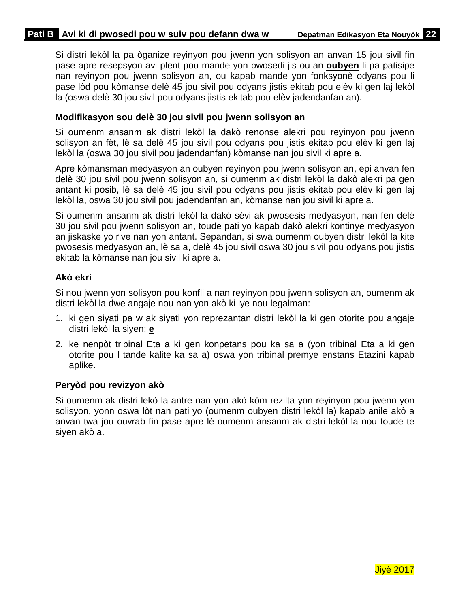Si distri lekòl la pa òganize reyinyon pou jwenn yon solisyon an anvan 15 jou sivil fin pase apre resepsyon avi plent pou mande yon pwosedi jis ou an **oubyen** li pa patisipe nan reyinyon pou jwenn solisyon an, ou kapab mande yon fonksyonè odyans pou li pase lòd pou kòmanse delè 45 jou sivil pou odyans jistis ekitab pou elèv ki gen laj lekòl la (oswa delè 30 jou sivil pou odyans jistis ekitab pou elèv jadendanfan an).

### **Modifikasyon sou delè 30 jou sivil pou jwenn solisyon an**

Si oumenm ansanm ak distri lekòl la dakò renonse alekri pou reyinyon pou jwenn solisyon an fèt, lè sa delè 45 jou sivil pou odyans pou jistis ekitab pou elèv ki gen laj lekòl la (oswa 30 jou sivil pou jadendanfan) kòmanse nan jou sivil ki apre a.

Apre kòmansman medyasyon an oubyen reyinyon pou jwenn solisyon an, epi anvan fen delè 30 jou sivil pou jwenn solisyon an, si oumenm ak distri lekòl la dakò alekri pa gen antant ki posib, lè sa delè 45 jou sivil pou odyans pou jistis ekitab pou elèv ki gen laj lekòl la, oswa 30 jou sivil pou jadendanfan an, kòmanse nan jou sivil ki apre a.

Si oumenm ansanm ak distri lekòl la dakò sèvi ak pwosesis medyasyon, nan fen delè 30 jou sivil pou jwenn solisyon an, toude pati yo kapab dakò alekri kontinye medyasyon an jiskaske yo rive nan yon antant. Sepandan, si swa oumenm oubyen distri lekòl la kite pwosesis medyasyon an, lè sa a, delè 45 jou sivil oswa 30 jou sivil pou odyans pou jistis ekitab la kòmanse nan jou sivil ki apre a.

### **Akò ekri**

Si nou jwenn yon solisyon pou konfli a nan reyinyon pou jwenn solisyon an, oumenm ak distri lekòl la dwe angaje nou nan yon akò ki lye nou legalman:

- 1. ki gen siyati pa w ak siyati yon reprezantan distri lekòl la ki gen otorite pou angaje distri lekòl la siyen; **e**
- 2. ke nenpòt tribinal Eta a ki gen konpetans pou ka sa a (yon tribinal Eta a ki gen otorite pou l tande kalite ka sa a) oswa yon tribinal premye enstans Etazini kapab aplike.

### **Peryòd pou revizyon akò**

Si oumenm ak distri lekò la antre nan yon akò kòm rezilta yon reyinyon pou jwenn yon solisyon, yonn oswa lòt nan pati yo (oumenm oubyen distri lekòl la) kapab anile akò a anvan twa jou ouvrab fin pase apre lè oumenm ansanm ak distri lekòl la nou toude te siyen akò a.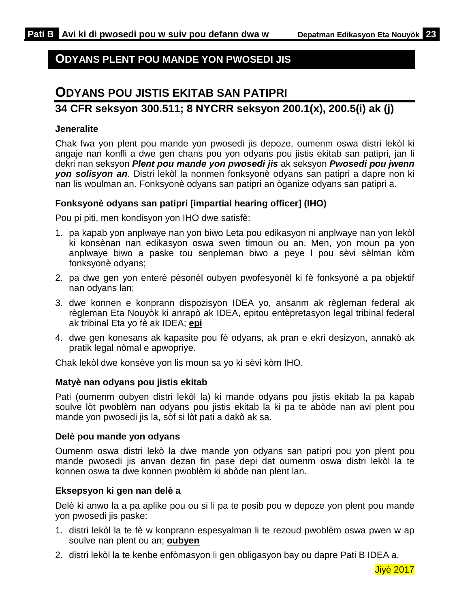## <span id="page-25-0"></span>**ODYANS PLENT POU MANDE YON PWOSEDI JIS**

# <span id="page-25-1"></span>**ODYANS POU JISTIS EKITAB SAN PATIPRI**

### **34 CFR seksyon 300.511; 8 NYCRR seksyon 200.1(x), 200.5(i) ak (j)**

### **Jeneralite**

Chak fwa yon plent pou mande yon pwosedi jis depoze, oumenm oswa distri lekòl ki angaje nan konfli a dwe gen chans pou yon odyans pou jistis ekitab san patipri, jan li dekri nan seksyon *Plent pou mande yon pwosedi jis* ak seksyon *Pwosedi pou jwenn yon solisyon an*. Distri lekòl la nonmen fonksyonè odyans san patipri a dapre non ki nan lis woulman an. Fonksyonè odyans san patipri an òganize odyans san patipri a.

### **Fonksyonè odyans san patipri [impartial hearing officer] (IHO)**

Pou pi piti, men kondisyon yon IHO dwe satisfè:

- 1. pa kapab yon anplwaye nan yon biwo Leta pou edikasyon ni anplwaye nan yon lekòl ki konsènan nan edikasyon oswa swen timoun ou an. Men, yon moun pa yon anplwaye biwo a paske tou senpleman biwo a peye l pou sèvi sèlman kòm fonksyonè odyans;
- 2. pa dwe gen yon enterè pèsonèl oubyen pwofesyonèl ki fè fonksyonè a pa objektif nan odyans lan;
- 3. dwe konnen e konprann dispozisyon IDEA yo, ansanm ak règleman federal ak règleman Eta Nouyòk ki anrapò ak IDEA, epitou entèpretasyon legal tribinal federal ak tribinal Eta yo fè ak IDEA; **epi**
- 4. dwe gen konesans ak kapasite pou fè odyans, ak pran e ekri desizyon, annakò ak pratik legal nòmal e apwopriye.

Chak lekòl dwe konsève yon lis moun sa yo ki sèvi kòm IHO.

### **Matyè nan odyans pou jistis ekitab**

Pati (oumenm oubyen distri lekòl la) ki mande odyans pou jistis ekitab la pa kapab soulve lòt pwoblèm nan odyans pou jistis ekitab la ki pa te abòde nan avi plent pou mande yon pwosedi jis la, sòf si lòt pati a dakò ak sa.

### **Delè pou mande yon odyans**

Oumenm oswa distri lekò la dwe mande yon odyans san patipri pou yon plent pou mande pwosedi jis anvan dezan fin pase depi dat oumenm oswa distri lekòl la te konnen oswa ta dwe konnen pwoblèm ki abòde nan plent lan.

### **Eksepsyon ki gen nan delè a**

Delè ki anwo la a pa aplike pou ou si li pa te posib pou w depoze yon plent pou mande yon pwosedi jis paske:

- 1. distri lekòl la te fè w konprann espesyalman li te rezoud pwoblèm oswa pwen w ap soulve nan plent ou an; **oubyen**
- 2. distri lekòl la te kenbe enfòmasyon li gen obligasyon bay ou dapre Pati B IDEA a.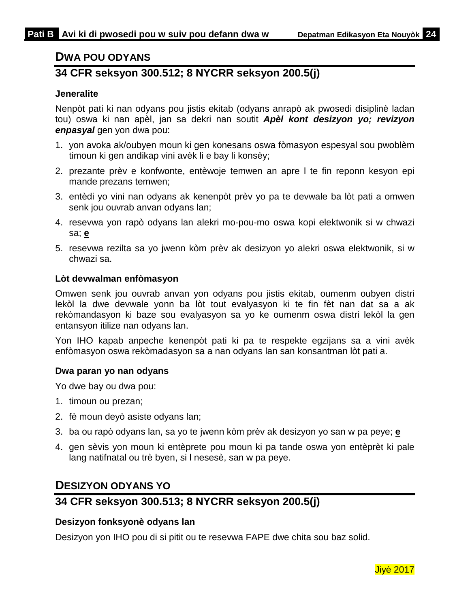### <span id="page-26-0"></span>**DWA POU ODYANS**

# **34 CFR seksyon 300.512; 8 NYCRR seksyon 200.5(j)**

### **Jeneralite**

Nenpòt pati ki nan odyans pou jistis ekitab (odyans anrapò ak pwosedi disiplinè ladan tou) oswa ki nan apèl, jan sa dekri nan soutit *Apèl kont desizyon yo; revizyon enpasyal* gen yon dwa pou:

- 1. yon avoka ak/oubyen moun ki gen konesans oswa fòmasyon espesyal sou pwoblèm timoun ki gen andikap vini avèk li e bay li konsèy;
- 2. prezante prèv e konfwonte, entèwoje temwen an apre l te fin reponn kesyon epi mande prezans temwen;
- 3. entèdi yo vini nan odyans ak kenenpòt prèv yo pa te devwale ba lòt pati a omwen senk jou ouvrab anvan odyans lan;
- 4. resevwa yon rapò odyans lan alekri mo-pou-mo oswa kopi elektwonik si w chwazi sa; **e**
- 5. resevwa rezilta sa yo jwenn kòm prèv ak desizyon yo alekri oswa elektwonik, si w chwazi sa.

#### **Lòt devwalman enfòmasyon**

Omwen senk jou ouvrab anvan yon odyans pou jistis ekitab, oumenm oubyen distri lekòl la dwe devwale yonn ba lòt tout evalyasyon ki te fin fèt nan dat sa a ak rekòmandasyon ki baze sou evalyasyon sa yo ke oumenm oswa distri lekòl la gen entansyon itilize nan odyans lan.

Yon IHO kapab anpeche kenenpòt pati ki pa te respekte egzijans sa a vini avèk enfòmasyon oswa rekòmadasyon sa a nan odyans lan san konsantman lòt pati a.

#### **Dwa paran yo nan odyans**

Yo dwe bay ou dwa pou:

- 1. timoun ou prezan;
- 2. fè moun deyò asiste odyans lan;
- 3. ba ou rapò odyans lan, sa yo te jwenn kòm prèv ak desizyon yo san w pa peye; **e**
- 4. gen sèvis yon moun ki entèprete pou moun ki pa tande oswa yon entèprèt ki pale lang natifnatal ou trè byen, si l nesesè, san w pa peye.

### <span id="page-26-1"></span>**DESIZYON ODYANS YO**

### **34 CFR seksyon 300.513; 8 NYCRR seksyon 200.5(j)**

### **Desizyon fonksyonè odyans lan**

Desizyon yon IHO pou di si pitit ou te resevwa FAPE dwe chita sou baz solid.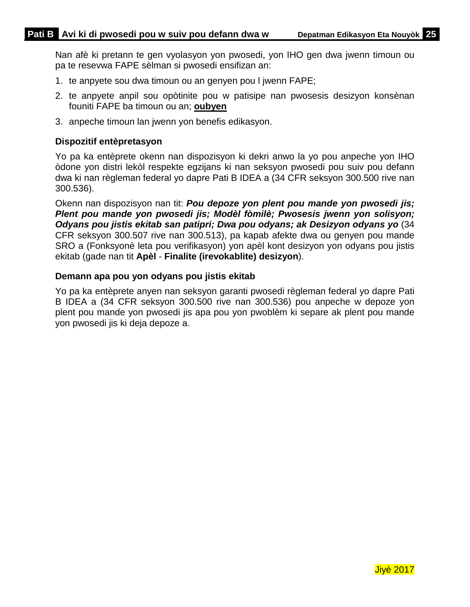Nan afè ki pretann te gen vyolasyon yon pwosedi, yon IHO gen dwa jwenn timoun ou pa te resevwa FAPE sèlman si pwosedi ensifizan an:

- 1. te anpyete sou dwa timoun ou an genyen pou l jwenn FAPE;
- 2. te anpyete anpil sou opòtinite pou w patisipe nan pwosesis desizyon konsènan founiti FAPE ba timoun ou an; **oubyen**
- 3. anpeche timoun lan jwenn yon benefis edikasyon.

### **Dispozitif entèpretasyon**

Yo pa ka entèprete okenn nan dispozisyon ki dekri anwo la yo pou anpeche yon IHO òdone yon distri lekòl respekte egzijans ki nan seksyon pwosedi pou suiv pou defann dwa ki nan règleman federal yo dapre Pati B IDEA a (34 CFR seksyon 300.500 rive nan 300.536).

Okenn nan dispozisyon nan tit: *Pou depoze yon plent pou mande yon pwosedi jis; Plent pou mande yon pwosedi jis; Modèl fòmilè; Pwosesis jwenn yon solisyon; Odyans pou jistis ekitab san patipri; Dwa pou odyans; ak Desizyon odyans yo* (34 CFR seksyon 300.507 rive nan 300.513), pa kapab afekte dwa ou genyen pou mande SRO a (Fonksyonè leta pou verifikasyon) yon apèl kont desizyon yon odyans pou jistis ekitab (gade nan tit **Apèl** - **Finalite (irevokablite) desizyon**).

#### **Demann apa pou yon odyans pou jistis ekitab**

Yo pa ka entèprete anyen nan seksyon garanti pwosedi règleman federal yo dapre Pati B IDEA a (34 CFR seksyon 300.500 rive nan 300.536) pou anpeche w depoze yon plent pou mande yon pwosedi jis apa pou yon pwoblèm ki separe ak plent pou mande yon pwosedi jis ki deja depoze a.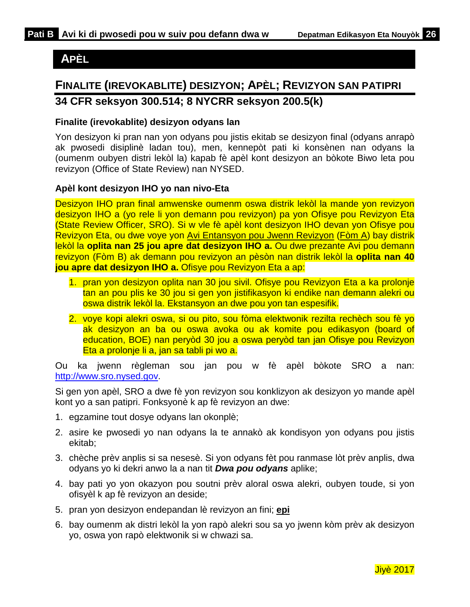# <span id="page-28-0"></span>**APÈL**

# <span id="page-28-1"></span>**FINALITE (IREVOKABLITE) DESIZYON; APÈL; REVIZYON SAN PATIPRI 34 CFR seksyon 300.514; 8 NYCRR seksyon 200.5(k)**

### **Finalite (irevokablite) desizyon odyans lan**

Yon desizyon ki pran nan yon odyans pou jistis ekitab se desizyon final (odyans anrapò ak pwosedi disiplinè ladan tou), men, kennepòt pati ki konsènen nan odyans la (oumenm oubyen distri lekòl la) kapab fè apèl kont desizyon an bòkote Biwo leta pou revizyon (Office of State Review) nan NYSED.

### **Apèl kont desizyon IHO yo nan nivo-Eta**

Desizyon IHO pran final amwenske oumenm oswa distrik lekòl la mande yon revizyon desizyon IHO a (yo rele li yon demann pou revizyon) pa yon Ofisye pou Revizyon Eta (State Review Officer, SRO). Si w vle fè apèl kont desizyon IHO devan yon Ofisye pou Revizyon Eta, ou dwe voye yon Avi Entansyon pou Jwenn Revizyon (Fòm A) bay distrik lekòl la **oplita nan 25 jou apre dat desizyon IHO a.** Ou dwe prezante Avi pou demann revizyon (Fòm B) ak demann pou revizyon an pèsòn nan distrik lekòl la **oplita nan 40 jou apre dat desizyon IHO a.** Ofisye pou Revizyon Eta a ap:

- 1. pran yon desizyon oplita nan 30 jou sivil. Ofisye pou Revizyon Eta a ka prolonje tan an pou plis ke 30 jou si gen yon jistifikasyon ki endike nan demann alekri ou oswa distrik lekòl la. Ekstansyon an dwe pou yon tan espesifik.
- 2. voye kopi alekri oswa, si ou pito, sou fòma elektwonik rezilta rechèch sou fè yo ak desizyon an ba ou oswa avoka ou ak komite pou edikasyon (board of education, BOE) nan peryòd 30 jou a oswa peryòd tan jan Ofisye pou Revizyon Eta a prolonje li a, jan sa tabli pi wo a.

Ou ka jwenn règleman sou jan pou w fè apèl bòkote SRO a nan: [http://www.sro.nysed.gov.](http://www.sro.nysed.gov/)

Si gen yon apèl, SRO a dwe fè yon revizyon sou konklizyon ak desizyon yo mande apèl kont yo a san patipri. Fonksyonè k ap fè revizyon an dwe:

- 1. egzamine tout dosye odyans lan okonplè;
- 2. asire ke pwosedi yo nan odyans la te annakò ak kondisyon yon odyans pou jistis ekitab;
- 3. chèche prèv anplis si sa nesesè. Si yon odyans fèt pou ranmase lòt prèv anplis, dwa odyans yo ki dekri anwo la a nan tit *Dwa pou odyans* aplike;
- 4. bay pati yo yon okazyon pou soutni prèv aloral oswa alekri, oubyen toude, si yon ofisyèl k ap fè revizyon an deside;
- 5. pran yon desizyon endepandan lè revizyon an fini; **epi**
- 6. bay oumenm ak distri lekòl la yon rapò alekri sou sa yo jwenn kòm prèv ak desizyon yo, oswa yon rapò elektwonik si w chwazi sa.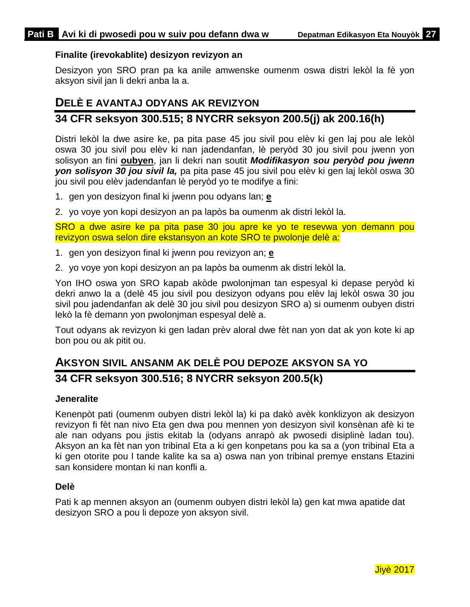### **Finalite (irevokablite) desizyon revizyon an**

Desizyon yon SRO pran pa ka anile amwenske oumenm oswa distri lekòl la fè yon aksyon sivil jan li dekri anba la a.

### <span id="page-29-0"></span>**DELÈ E AVANTAJ ODYANS AK REVIZYON**

### **34 CFR seksyon 300.515; 8 NYCRR seksyon 200.5(j) ak 200.16(h)**

Distri lekòl la dwe asire ke, pa pita pase 45 jou sivil pou elèv ki gen laj pou ale lekòl oswa 30 jou sivil pou elèv ki nan jadendanfan, lè peryòd 30 jou sivil pou jwenn yon solisyon an fini **oubyen**, jan li dekri nan soutit *Modifikasyon sou peryòd pou jwenn yon solisyon 30 jou sivil la,* pa pita pase 45 jou sivil pou elèv ki gen laj lekòl oswa 30 jou sivil pou elèv jadendanfan lè peryòd yo te modifye a fini:

- 1. gen yon desizyon final ki jwenn pou odyans lan; **e**
- 2. yo voye yon kopi desizyon an pa lapòs ba oumenm ak distri lekòl la.

SRO a dwe asire ke pa pita pase 30 jou apre ke yo te resevwa yon demann pou revizyon oswa selon dire ekstansyon an kote SRO te pwolonje delè a:

- 1. gen yon desizyon final ki jwenn pou revizyon an; **e**
- 2. yo voye yon kopi desizyon an pa lapòs ba oumenm ak distri lekòl la.

Yon IHO oswa yon SRO kapab akòde pwolonjman tan espesyal ki depase peryòd ki dekri anwo la a (delè 45 jou sivil pou desizyon odyans pou elèv laj lekòl oswa 30 jou sivil pou jadendanfan ak delè 30 jou sivil pou desizyon SRO a) si oumenm oubyen distri lekò la fè demann yon pwolonjman espesyal delè a.

Tout odyans ak revizyon ki gen ladan prèv aloral dwe fèt nan yon dat ak yon kote ki ap bon pou ou ak pitit ou.

# <span id="page-29-1"></span>**AKSYON SIVIL ANSANM AK DELÈ POU DEPOZE AKSYON SA YO**

### **34 CFR seksyon 300.516; 8 NYCRR seksyon 200.5(k)**

#### **Jeneralite**

Kenenpòt pati (oumenm oubyen distri lekòl la) ki pa dakò avèk konklizyon ak desizyon revizyon fi fèt nan nivo Eta gen dwa pou mennen yon desizyon sivil konsènan afè ki te ale nan odyans pou jistis ekitab la (odyans anrapò ak pwosedi disiplinè ladan tou). Aksyon an ka fèt nan yon tribinal Eta a ki gen konpetans pou ka sa a (yon tribinal Eta a ki gen otorite pou l tande kalite ka sa a) oswa nan yon tribinal premye enstans Etazini san konsidere montan ki nan konfli a.

#### **Delè**

Pati k ap mennen aksyon an (oumenm oubyen distri lekòl la) gen kat mwa apatide dat desizyon SRO a pou li depoze yon aksyon sivil.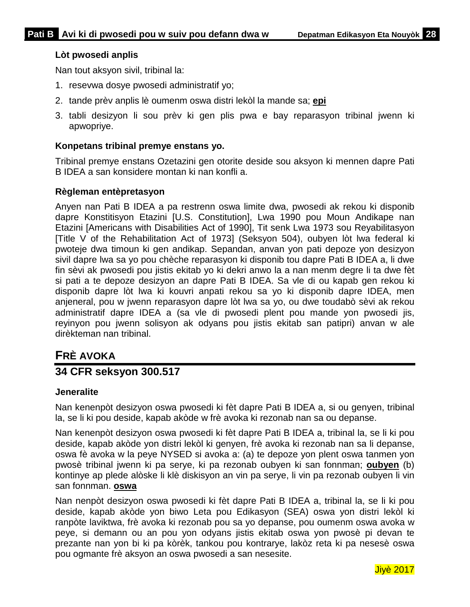### **Lòt pwosedi anplis**

Nan tout aksyon sivil, tribinal la:

- 1. resevwa dosye pwosedi administratif yo;
- 2. tande prèv anplis lè oumenm oswa distri lekòl la mande sa; **epi**
- 3. tabli desizyon li sou prèv ki gen plis pwa e bay reparasyon tribinal jwenn ki apwopriye.

#### **Konpetans tribinal premye enstans yo.**

Tribinal premye enstans Ozetazini gen otorite deside sou aksyon ki mennen dapre Pati B IDEA a san konsidere montan ki nan konfli a.

#### **Règleman entèpretasyon**

Anyen nan Pati B IDEA a pa restrenn oswa limite dwa, pwosedi ak rekou ki disponib dapre Konstitisyon Etazini [U.S. Constitution], Lwa 1990 pou Moun Andikape nan Etazini [Americans with Disabilities Act of 1990], Tit senk Lwa 1973 sou Reyabilitasyon [Title V of the Rehabilitation Act of 1973] (Seksyon 504), oubyen lòt lwa federal ki pwoteje dwa timoun ki gen andikap. Sepandan, anvan yon pati depoze yon desizyon sivil dapre lwa sa yo pou chèche reparasyon ki disponib tou dapre Pati B IDEA a, li dwe fin sèvi ak pwosedi pou jistis ekitab yo ki dekri anwo la a nan menm degre li ta dwe fèt si pati a te depoze desizyon an dapre Pati B IDEA. Sa vle di ou kapab gen rekou ki disponib dapre lòt lwa ki kouvri anpati rekou sa yo ki disponib dapre IDEA, men anjeneral, pou w jwenn reparasyon dapre lòt lwa sa yo, ou dwe toudabò sèvi ak rekou administratif dapre IDEA a (sa vle di pwosedi plent pou mande yon pwosedi jis, reyinyon pou jwenn solisyon ak odyans pou jistis ekitab san patipri) anvan w ale dirèkteman nan tribinal.

# <span id="page-30-0"></span>**FRÈ AVOKA**

### **34 CFR seksyon 300.517**

#### **Jeneralite**

Nan kenenpòt desizyon oswa pwosedi ki fèt dapre Pati B IDEA a, si ou genyen, tribinal la, se li ki pou deside, kapab akòde w frè avoka ki rezonab nan sa ou depanse.

Nan kenenpòt desizyon oswa pwosedi ki fèt dapre Pati B IDEA a, tribinal la, se li ki pou deside, kapab akòde yon distri lekòl ki genyen, frè avoka ki rezonab nan sa li depanse, oswa fè avoka w la peye NYSED si avoka a: (a) te depoze yon plent oswa tanmen yon pwosè tribinal jwenn ki pa serye, ki pa rezonab oubyen ki san fonnman; **oubyen** (b) kontinye ap plede alòske li klè diskisyon an vin pa serye, li vin pa rezonab oubyen li vin san fonnman. **oswa**

Nan nenpòt desizyon oswa pwosedi ki fèt dapre Pati B IDEA a, tribinal la, se li ki pou deside, kapab akòde yon biwo Leta pou Edikasyon (SEA) oswa yon distri lekòl ki ranpòte laviktwa, frè avoka ki rezonab pou sa yo depanse, pou oumenm oswa avoka w peye, si demann ou an pou yon odyans jistis ekitab oswa yon pwosè pi devan te prezante nan yon bi ki pa kòrèk, tankou pou kontrarye, lakòz reta ki pa nesesè oswa pou ogmante frè aksyon an oswa pwosedi a san nesesite.

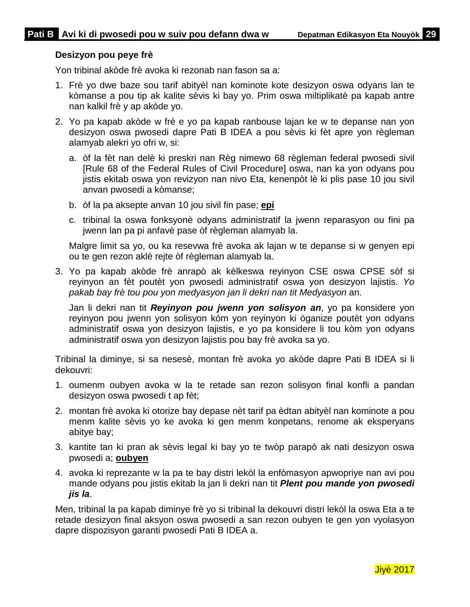### **Desizyon pou peye frè**

Yon tribinal akòde frè avoka ki rezonab nan fason sa a:

- 1. Frè yo dwe baze sou tarif abityèl nan kominote kote desizyon oswa odyans lan te kòmanse a pou tip ak kalite sèvis ki bay yo. Prim oswa miltiplikatè pa kapab antre nan kalkil frè y ap akòde yo.
- 2. Yo pa kapab akòde w frè e yo pa kapab ranbouse lajan ke w te depanse nan yon desizyon oswa pwosedi dapre Pati B IDEA a pou sèvis ki fèt apre yon règleman alamyab alekri yo ofri w, si:
	- a. òf la fèt nan delè ki preskri nan Règ nimewo 68 règleman federal pwosedi sivil [Rule 68 of the Federal Rules of Civil Procedure] oswa, nan ka yon odyans pou jistis ekitab oswa yon revizyon nan nivo Eta, kenenpòt lè ki plis pase 10 jou sivil anvan pwosedi a kòmanse;
	- b. òf la pa aksepte anvan 10 jou sivil fin pase; **epi**
	- c. tribinal la oswa fonksyonè odyans administratif la jwenn reparasyon ou fini pa jwenn lan pa pi anfavè pase òf règleman alamyab la.

Malgre limit sa yo, ou ka resevwa frè avoka ak lajan w te depanse si w genyen epi ou te gen rezon aklè rejte òf règleman alamyab la.

3. Yo pa kapab akòde frè anrapò ak kèlkeswa reyinyon CSE oswa CPSE sòf si reyinyon an fèt poutèt yon pwosedi administratif oswa yon desizyon lajistis. *Yo pakab bay frè tou pou yon medyasyon jan li dekri nan tit Medyasyon* an.

Jan li dekri nan tit *Reyinyon pou jwenn yon solisyon an*, yo pa konsidere yon reyinyon pou jwenn yon solisyon kòm yon reyinyon ki òganize poutèt yon odyans administratif oswa yon desizyon lajistis, e yo pa konsidere li tou kòm yon odyans administratif oswa yon desizyon lajistis pou bay frè avoka sa yo.

Tribinal la diminye, si sa nesesè, montan frè avoka yo akòde dapre Pati B IDEA si li dekouvri:

- 1. oumenm oubyen avoka w la te retade san rezon solisyon final konfli a pandan desizyon oswa pwosedi t ap fèt;
- 2. montan frè avoka ki otorize bay depase nèt tarif pa èdtan abityèl nan kominote a pou menm kalite sèvis yo ke avoka ki gen menm konpetans, renome ak eksperyans abitye bay;
- 3. kantite tan ki pran ak sèvis legal ki bay yo te twòp parapò ak nati desizyon oswa pwosedi a; **oubyen**
- 4. avoka ki reprezante w la pa te bay distri lekòl la enfòmasyon apwopriye nan avi pou mande odyans pou jistis ekitab la jan li dekri nan tit *Plent pou mande yon pwosedi jis la*.

Men, tribinal la pa kapab diminye frè yo si tribinal la dekouvri distri lekòl la oswa Eta a te retade desizyon final aksyon oswa pwosedi a san rezon oubyen te gen yon vyolasyon dapre dispozisyon garanti pwosedi Pati B IDEA a.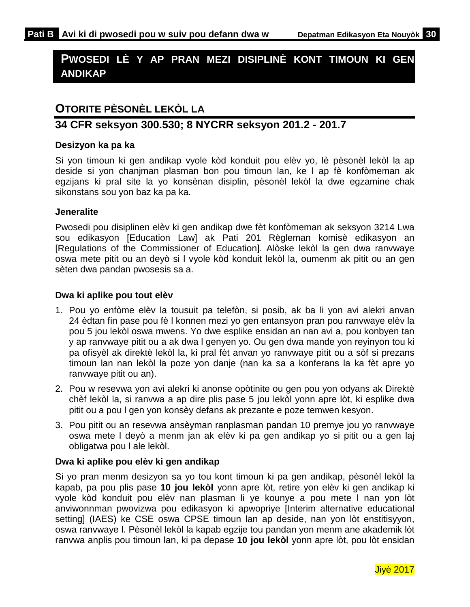# <span id="page-32-0"></span>**PWOSEDI LÈ Y AP PRAN MEZI DISIPLINÈ KONT TIMOUN KI GEN ANDIKAP**

# <span id="page-32-1"></span>**OTORITE PÈSONÈL LEKÒL LA**

### **34 CFR seksyon 300.530; 8 NYCRR seksyon 201.2 - 201.7**

### **Desizyon ka pa ka**

Si yon timoun ki gen andikap vyole kòd konduit pou elèv yo, lè pèsonèl lekòl la ap deside si yon chanjman plasman bon pou timoun lan, ke l ap fè konfòmeman ak egzijans ki pral site la yo konsènan disiplin, pèsonèl lekòl la dwe egzamine chak sikonstans sou yon baz ka pa ka.

### **Jeneralite**

Pwosedi pou disiplinen elèv ki gen andikap dwe fèt konfòmeman ak seksyon 3214 Lwa sou edikasyon [Education Law] ak Pati 201 Règleman komisè edikasyon an [Regulations of the Commissioner of Education]. Alòske lekòl la gen dwa ranvwaye oswa mete pitit ou an deyò si l vyole kòd konduit lekòl la, oumenm ak pitit ou an gen sèten dwa pandan pwosesis sa a.

### **Dwa ki aplike pou tout elèv**

- 1. Pou yo enfòme elèv la tousuit pa telefòn, si posib, ak ba li yon avi alekri anvan 24 èdtan fin pase pou fè l konnen mezi yo gen entansyon pran pou ranvwaye elèv la pou 5 jou lekòl oswa mwens. Yo dwe esplike ensidan an nan avi a, pou konbyen tan y ap ranvwaye pitit ou a ak dwa l genyen yo. Ou gen dwa mande yon reyinyon tou ki pa ofisyèl ak direktè lekòl la, ki pral fèt anvan yo ranvwaye pitit ou a sòf si prezans timoun lan nan lekòl la poze yon danje (nan ka sa a konferans la ka fèt apre yo ranvwaye pitit ou an).
- 2. Pou w resevwa yon avi alekri ki anonse opòtinite ou gen pou yon odyans ak Direktè chèf lekòl la, si ranvwa a ap dire plis pase 5 jou lekòl yonn apre lòt, ki esplike dwa pitit ou a pou l gen yon konsèy defans ak prezante e poze temwen kesyon.
- 3. Pou pitit ou an resevwa ansèyman ranplasman pandan 10 premye jou yo ranvwaye oswa mete l deyò a menm jan ak elèv ki pa gen andikap yo si pitit ou a gen laj obligatwa pou l ale lekòl.

### **Dwa ki aplike pou elèv ki gen andikap**

Si yo pran menm desizyon sa yo tou kont timoun ki pa gen andikap, pèsonèl lekòl la kapab, pa pou plis pase **10 jou lekòl** yonn apre lòt, retire yon elèv ki gen andikap ki vyole kòd konduit pou elèv nan plasman li ye kounye a pou mete l nan yon lòt anviwonnman pwovizwa pou edikasyon ki apwopriye [Interim alternative educational setting] (IAES) ke CSE oswa CPSE timoun lan ap deside, nan yon lòt enstitisyyon, oswa ranvwaye l. Pèsonèl lekòl la kapab egzije tou pandan yon menm ane akademik lòt ranvwa anplis pou timoun lan, ki pa depase **10 jou lekòl** yonn apre lòt, pou lòt ensidan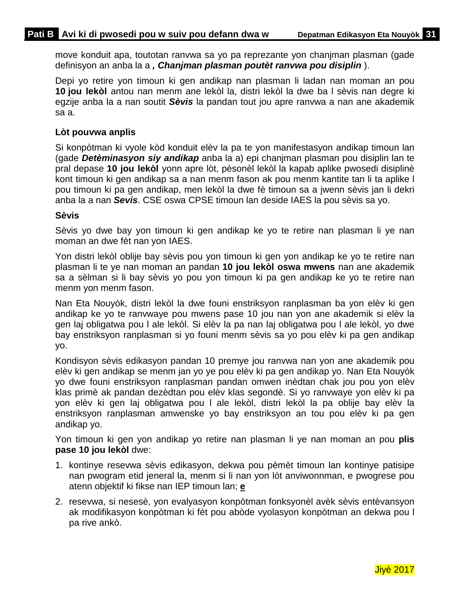move konduit apa, toutotan ranvwa sa yo pa reprezante yon chanjman plasman (gade definisyon an anba la a *, Chanjman plasman poutèt ranvwa pou disiplin* ).

Depi yo retire yon timoun ki gen andikap nan plasman li ladan nan moman an pou **10 jou lekòl** antou nan menm ane lekòl la, distri lekòl la dwe ba l sèvis nan degre ki egzije anba la a nan soutit *Sèvis* la pandan tout jou apre ranvwa a nan ane akademik sa a.

### **Lòt pouvwa anplis**

Si konpòtman ki vyole kòd konduit elèv la pa te yon manifestasyon andikap timoun lan (gade *Detèminasyon siy andikap* anba la a) epi chanjman plasman pou disiplin lan te pral depase **10 jou lekòl** yonn apre lòt, pèsonèl lekòl la kapab aplike pwosedi disiplinè kont timoun ki gen andikap sa a nan menm fason ak pou menm kantite tan li ta aplike l pou timoun ki pa gen andikap, men lekòl la dwe fè timoun sa a jwenn sèvis jan li dekri anba la a nan *Sevis*. CSE oswa CPSE timoun lan deside IAES la pou sèvis sa yo.

#### **Sèvis**

Sèvis yo dwe bay yon timoun ki gen andikap ke yo te retire nan plasman li ye nan moman an dwe fèt nan yon IAES.

Yon distri lekòl oblije bay sèvis pou yon timoun ki gen yon andikap ke yo te retire nan plasman li te ye nan moman an pandan **10 jou lekòl oswa mwens** nan ane akademik sa a sèlman si li bay sèvis yo pou yon timoun ki pa gen andikap ke yo te retire nan menm yon menm fason.

Nan Eta Nouyòk, distri lekòl la dwe founi enstriksyon ranplasman ba yon elèv ki gen andikap ke yo te ranvwaye pou mwens pase 10 jou nan yon ane akademik si elèv la gen laj obligatwa pou l ale lekòl. Si elèv la pa nan laj obligatwa pou l ale lekòl, yo dwe bay enstriksyon ranplasman si yo founi menm sèvis sa yo pou elèv ki pa gen andikap yo.

Kondisyon sèvis edikasyon pandan 10 premye jou ranvwa nan yon ane akademik pou elèv ki gen andikap se menm jan yo ye pou elèv ki pa gen andikap yo. Nan Eta Nouyòk yo dwe founi enstriksyon ranplasman pandan omwen inèdtan chak jou pou yon elèv klas primè ak pandan dezèdtan pou elèv klas segondè. Si yo ranvwaye yon elèv ki pa yon elèv ki gen laj obligatwa pou l ale lekòl, distri lekòl la pa oblije bay elèv la enstriksyon ranplasman amwenske yo bay enstriksyon an tou pou elèv ki pa gen andikap yo.

Yon timoun ki gen yon andikap yo retire nan plasman li ye nan moman an pou **plis pase 10 jou lekòl** dwe:

- 1. kontinye resevwa sèvis edikasyon, dekwa pou pèmèt timoun lan kontinye patisipe nan pwogram etid jeneral la, menm si li nan yon lòt anviwonnman, e pwogrese pou atenn objektif ki fikse nan IEP timoun lan; **e**
- 2. resevwa, si nesesè, yon evalyasyon konpòtman fonksyonèl avèk sèvis entèvansyon ak modifikasyon konpòtman ki fèt pou abòde vyolasyon konpòtman an dekwa pou l pa rive ankò.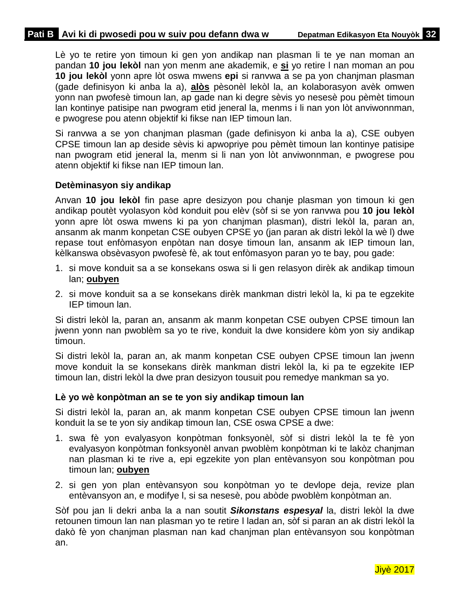Lè yo te retire yon timoun ki gen yon andikap nan plasman li te ye nan moman an pandan **10 jou lekòl** nan yon menm ane akademik, e **si** yo retire l nan moman an pou **10 jou lekòl** yonn apre lòt oswa mwens **epi** si ranvwa a se pa yon chanjman plasman (gade definisyon ki anba la a), **alòs** pèsonèl lekòl la, an kolaborasyon avèk omwen yonn nan pwofesè timoun lan, ap gade nan ki degre sèvis yo nesesè pou pèmèt timoun lan kontinye patisipe nan pwogram etid jeneral la, menms i li nan yon lòt anviwonnman, e pwogrese pou atenn objektif ki fikse nan IEP timoun lan.

Si ranvwa a se yon chanjman plasman (gade definisyon ki anba la a), CSE oubyen CPSE timoun lan ap deside sèvis ki apwopriye pou pèmèt timoun lan kontinye patisipe nan pwogram etid jeneral la, menm si li nan yon lòt anviwonnman, e pwogrese pou atenn objektif ki fikse nan IEP timoun lan.

### **Detèminasyon siy andikap**

Anvan **10 jou lekòl** fin pase apre desizyon pou chanje plasman yon timoun ki gen andikap poutèt vyolasyon kòd konduit pou elèv (sòf si se yon ranvwa pou **10 jou lekòl** yonn apre lòt oswa mwens ki pa yon chanjman plasman), distri lekòl la, paran an, ansanm ak manm konpetan CSE oubyen CPSE yo (jan paran ak distri lekòl la wè l) dwe repase tout enfòmasyon enpòtan nan dosye timoun lan, ansanm ak IEP timoun lan, kèlkanswa obsèvasyon pwofesè fè, ak tout enfòmasyon paran yo te bay, pou gade:

- 1. si move konduit sa a se konsekans oswa si li gen relasyon dirèk ak andikap timoun lan; **oubyen**
- 2. si move konduit sa a se konsekans dirèk mankman distri lekòl la, ki pa te egzekite IEP timoun lan.

Si distri lekòl la, paran an, ansanm ak manm konpetan CSE oubyen CPSE timoun lan jwenn yonn nan pwoblèm sa yo te rive, konduit la dwe konsidere kòm yon siy andikap timoun.

Si distri lekòl la, paran an, ak manm konpetan CSE oubyen CPSE timoun lan jwenn move konduit la se konsekans dirèk mankman distri lekòl la, ki pa te egzekite IEP timoun lan, distri lekòl la dwe pran desizyon tousuit pou remedye mankman sa yo.

#### **Lè yo wè konpòtman an se te yon siy andikap timoun lan**

Si distri lekòl la, paran an, ak manm konpetan CSE oubyen CPSE timoun lan jwenn konduit la se te yon siy andikap timoun lan, CSE oswa CPSE a dwe:

- 1. swa fè yon evalyasyon konpòtman fonksyonèl, sòf si distri lekòl la te fè yon evalyasyon konpòtman fonksyonèl anvan pwoblèm konpòtman ki te lakòz chanjman nan plasman ki te rive a, epi egzekite yon plan entèvansyon sou konpòtman pou timoun lan; **oubyen**
- 2. si gen yon plan entèvansyon sou konpòtman yo te devlope deja, revize plan entèvansyon an, e modifye l, si sa nesesè, pou abòde pwoblèm konpòtman an.

Sòf pou jan li dekri anba la a nan soutit *Sikonstans espesyal* la, distri lekòl la dwe retounen timoun lan nan plasman yo te retire l ladan an, sòf si paran an ak distri lekòl la dakò fè yon chanjman plasman nan kad chanjman plan entèvansyon sou konpòtman an.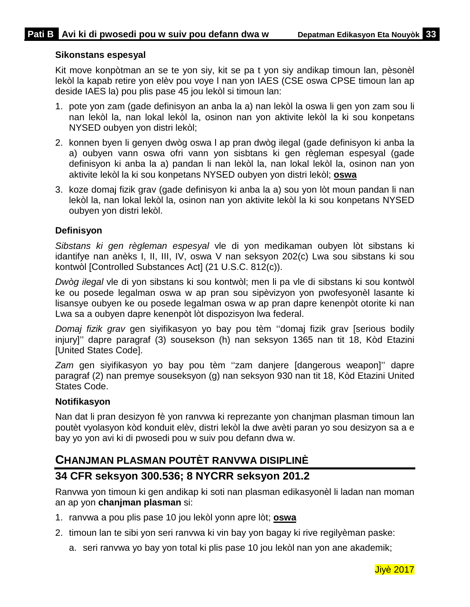### **Sikonstans espesyal**

Kit move konpòtman an se te yon siy, kit se pa t yon siy andikap timoun lan, pèsonèl lekòl la kapab retire yon elèv pou voye l nan yon IAES (CSE oswa CPSE timoun lan ap deside IAES la) pou plis pase 45 jou lekòl si timoun lan:

- 1. pote yon zam (gade definisyon an anba la a) nan lekòl la oswa li gen yon zam sou li nan lekòl la, nan lokal lekòl la, osinon nan yon aktivite lekòl la ki sou konpetans NYSED oubyen yon distri lekòl;
- 2. konnen byen li genyen dwòg oswa l ap pran dwòg ilegal (gade definisyon ki anba la a) oubyen vann oswa ofri vann yon sisbtans ki gen règleman espesyal (gade definisyon ki anba la a) pandan li nan lekòl la, nan lokal lekòl la, osinon nan yon aktivite lekòl la ki sou konpetans NYSED oubyen yon distri lekòl; **oswa**
- 3. koze domaj fizik grav (gade definisyon ki anba la a) sou yon lòt moun pandan li nan lekòl la, nan lokal lekòl la, osinon nan yon aktivite lekòl la ki sou konpetans NYSED oubyen yon distri lekòl.

### **Definisyon**

*Sibstans ki gen règleman espesyal* vle di yon medikaman oubyen lòt sibstans ki idantifye nan anèks I, II, III, IV, oswa V nan seksyon 202(c) Lwa sou sibstans ki sou kontwòl [Controlled Substances Act] (21 U.S.C. 812(c)).

*Dwòg ilegal* vle di yon sibstans ki sou kontwòl; men li pa vle di sibstans ki sou kontwòl ke ou posede legalman oswa w ap pran sou sipèvizyon yon pwofesyonèl lasante ki lisansye oubyen ke ou posede legalman oswa w ap pran dapre kenenpòt otorite ki nan Lwa sa a oubyen dapre kenenpòt lòt dispozisyon lwa federal.

*Domaj fizik grav* gen siyifikasyon yo bay pou tèm ''domaj fizik grav [serious bodily injury]'' dapre paragraf (3) sousekson (h) nan seksyon 1365 nan tit 18, Kòd Etazini [United States Code].

*Zam* gen siyifikasyon yo bay pou tèm ''zam danjere [dangerous weapon]'' dapre paragraf (2) nan premye souseksyon (g) nan seksyon 930 nan tit 18, Kòd Etazini United States Code.

### **Notifikasyon**

Nan dat li pran desizyon fè yon ranvwa ki reprezante yon chanjman plasman timoun lan poutèt vyolasyon kòd konduit elèv, distri lekòl la dwe avèti paran yo sou desizyon sa a e bay yo yon avi ki di pwosedi pou w suiv pou defann dwa w.

### <span id="page-35-0"></span>**CHANJMAN PLASMAN POUTÈT RANVWA DISIPLINÈ**

## **34 CFR seksyon 300.536; 8 NYCRR seksyon 201.2**

Ranvwa yon timoun ki gen andikap ki soti nan plasman edikasyonèl li ladan nan moman an ap yon **chanjman plasman** si:

- 1. ranvwa a pou plis pase 10 jou lekòl yonn apre lòt; **oswa**
- 2. timoun lan te sibi yon seri ranvwa ki vin bay yon bagay ki rive regilyèman paske:
	- a. seri ranvwa yo bay yon total ki plis pase 10 jou lekòl nan yon ane akademik;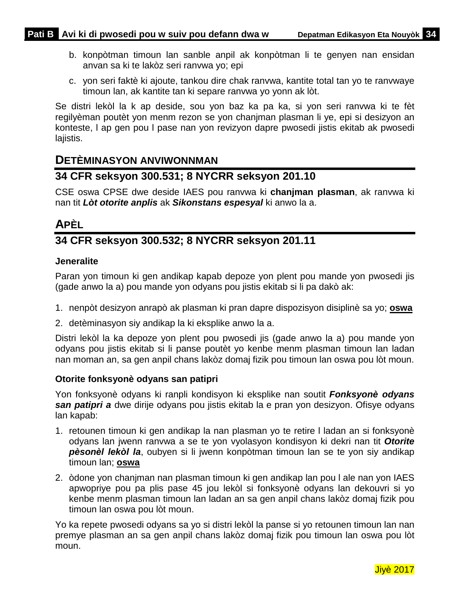- b. konpòtman timoun lan sanble anpil ak konpòtman li te genyen nan ensidan anvan sa ki te lakòz seri ranvwa yo; epi
- c. yon seri faktè ki ajoute, tankou dire chak ranvwa, kantite total tan yo te ranvwaye timoun lan, ak kantite tan ki separe ranvwa yo yonn ak lòt.

Se distri lekòl la k ap deside, sou yon baz ka pa ka, si yon seri ranvwa ki te fèt regilyèman poutèt yon menm rezon se yon chanjman plasman li ye, epi si desizyon an konteste, l ap gen pou l pase nan yon revizyon dapre pwosedi jistis ekitab ak pwosedi lajistis.

### <span id="page-36-0"></span>**DETÈMINASYON ANVIWONNMAN**

## **34 CFR seksyon 300.531; 8 NYCRR seksyon 201.10**

CSE oswa CPSE dwe deside IAES pou ranvwa ki **chanjman plasman**, ak ranvwa ki nan tit *Lòt otorite anplis* ak *Sikonstans espesyal* ki anwo la a.

# <span id="page-36-1"></span>**APÈL**

## **34 CFR seksyon 300.532; 8 NYCRR seksyon 201.11**

### **Jeneralite**

Paran yon timoun ki gen andikap kapab depoze yon plent pou mande yon pwosedi jis (gade anwo la a) pou mande yon odyans pou jistis ekitab si li pa dakò ak:

- 1. nenpòt desizyon anrapò ak plasman ki pran dapre dispozisyon disiplinè sa yo; **oswa**
- 2. detèminasyon siy andikap la ki eksplike anwo la a.

Distri lekòl la ka depoze yon plent pou pwosedi jis (gade anwo la a) pou mande yon odyans pou jistis ekitab si li panse poutèt yo kenbe menm plasman timoun lan ladan nan moman an, sa gen anpil chans lakòz domaj fizik pou timoun lan oswa pou lòt moun.

### **Otorite fonksyonè odyans san patipri**

Yon fonksyonè odyans ki ranpli kondisyon ki eksplike nan soutit *Fonksyonè odyans san patipri a* dwe dirije odyans pou jistis ekitab la e pran yon desizyon. Ofisye odyans lan kapab:

- 1. retounen timoun ki gen andikap la nan plasman yo te retire l ladan an si fonksyonè odyans lan jwenn ranvwa a se te yon vyolasyon kondisyon ki dekri nan tit *Otorite pèsonèl lekòl la*, oubyen si li jwenn konpòtman timoun lan se te yon siy andikap timoun lan; **oswa**
- 2. òdone yon chanjman nan plasman timoun ki gen andikap lan pou l ale nan yon IAES apwopriye pou pa plis pase 45 jou lekòl si fonksyonè odyans lan dekouvri si yo kenbe menm plasman timoun lan ladan an sa gen anpil chans lakòz domaj fizik pou timoun lan oswa pou lòt moun.

Yo ka repete pwosedi odyans sa yo si distri lekòl la panse si yo retounen timoun lan nan premye plasman an sa gen anpil chans lakòz domaj fizik pou timoun lan oswa pou lòt moun.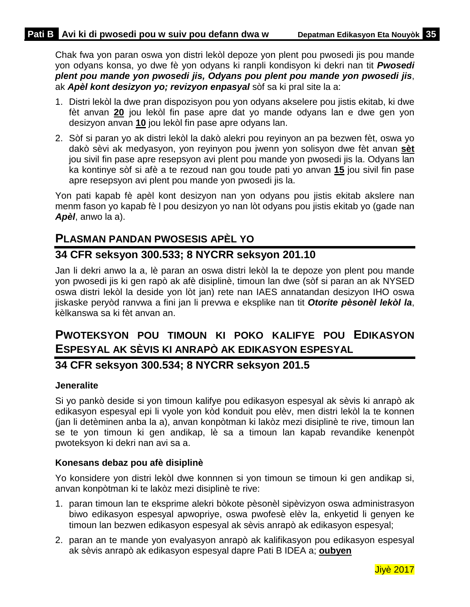Chak fwa yon paran oswa yon distri lekòl depoze yon plent pou pwosedi jis pou mande yon odyans konsa, yo dwe fè yon odyans ki ranpli kondisyon ki dekri nan tit *Pwosedi plent pou mande yon pwosedi jis, Odyans pou plent pou mande yon pwosedi jis*, ak *Apèl kont desizyon yo; revizyon enpasyal* sòf sa ki pral site la a:

- 1. Distri lekòl la dwe pran dispozisyon pou yon odyans akselere pou jistis ekitab, ki dwe fèt anvan **20** jou lekòl fin pase apre dat yo mande odyans lan e dwe gen yon desizyon anvan **10** jou lekòl fin pase apre odyans lan.
- 2. Sòf si paran yo ak distri lekòl la dakò alekri pou reyinyon an pa bezwen fèt, oswa yo dakò sèvi ak medyasyon, yon reyinyon pou jwenn yon solisyon dwe fèt anvan **sèt** jou sivil fin pase apre resepsyon avi plent pou mande yon pwosedi jis la. Odyans lan ka kontinye sòf si afè a te rezoud nan gou toude pati yo anvan **15** jou sivil fin pase apre resepsyon avi plent pou mande yon pwosedi jis la.

Yon pati kapab fè apèl kont desizyon nan yon odyans pou jistis ekitab akslere nan menm fason yo kapab fè l pou desizyon yo nan lòt odyans pou jistis ekitab yo (gade nan *Apèl*, anwo la a).

## <span id="page-37-0"></span>**PLASMAN PANDAN PWOSESIS APÈL YO**

### **34 CFR seksyon 300.533; 8 NYCRR seksyon 201.10**

Jan li dekri anwo la a, lè paran an oswa distri lekòl la te depoze yon plent pou mande yon pwosedi jis ki gen rapò ak afè disiplinè, timoun lan dwe (sòf si paran an ak NYSED oswa distri lekòl la deside yon lòt jan) rete nan IAES annatandan desizyon IHO oswa jiskaske peryòd ranvwa a fini jan li prevwa e eksplike nan tit *Otorite pèsonèl lekòl la*, kèlkanswa sa ki fèt anvan an.

# <span id="page-37-1"></span>**PWOTEKSYON POU TIMOUN KI POKO KALIFYE POU EDIKASYON ESPESYAL AK SÈVIS KI ANRAPÒ AK EDIKASYON ESPESYAL**

### **34 CFR seksyon 300.534; 8 NYCRR seksyon 201.5**

### **Jeneralite**

Si yo pankò deside si yon timoun kalifye pou edikasyon espesyal ak sèvis ki anrapò ak edikasyon espesyal epi li vyole yon kòd konduit pou elèv, men distri lekòl la te konnen (jan li detèminen anba la a), anvan konpòtman ki lakòz mezi disiplinè te rive, timoun lan se te yon timoun ki gen andikap, lè sa a timoun lan kapab revandike kenenpòt pwoteksyon ki dekri nan avi sa a.

### **Konesans debaz pou afè disiplinè**

Yo konsidere yon distri lekòl dwe konnnen si yon timoun se timoun ki gen andikap si, anvan konpòtman ki te lakòz mezi disiplinè te rive:

- 1. paran timoun lan te eksprime alekri bòkote pèsonèl sipèvizyon oswa administrasyon biwo edikasyon espesyal apwopriye, oswa pwofesè elèv la, enkyetid li genyen ke timoun lan bezwen edikasyon espesyal ak sèvis anrapò ak edikasyon espesyal;
- 2. paran an te mande yon evalyasyon anrapò ak kalifikasyon pou edikasyon espesyal ak sèvis anrapò ak edikasyon espesyal dapre Pati B IDEA a; **oubyen**

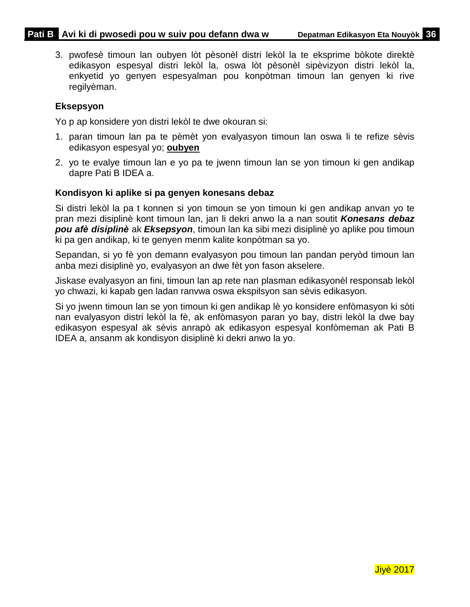3. pwofesè timoun lan oubyen lòt pèsonèl distri lekòl la te eksprime bòkote direktè edikasyon espesyal distri lekòl la, oswa lòt pèsonèl sipèvizyon distri lekòl la, enkyetid yo genyen espesyalman pou konpòtman timoun lan genyen ki rive regilyèman.

### **Eksepsyon**

Yo p ap konsidere yon distri lekòl te dwe okouran si:

- 1. paran timoun lan pa te pèmèt yon evalyasyon timoun lan oswa li te refize sèvis edikasyon espesyal yo; **oubyen**
- 2. yo te evalye timoun lan e yo pa te jwenn timoun lan se yon timoun ki gen andikap dapre Pati B IDEA a.

### **Kondisyon ki aplike si pa genyen konesans debaz**

Si distri lekòl la pa t konnen si yon timoun se yon timoun ki gen andikap anvan yo te pran mezi disiplinè kont timoun lan, jan li dekri anwo la a nan soutit *Konesans debaz pou afè disiplinè* ak *Eksepsyon*, timoun lan ka sibi mezi disiplinè yo aplike pou timoun ki pa gen andikap, ki te genyen menm kalite konpòtman sa yo.

Sepandan, si yo fè yon demann evalyasyon pou timoun lan pandan peryòd timoun lan anba mezi disiplinè yo, evalyasyon an dwe fèt yon fason akselere.

Jiskase evalyasyon an fini, timoun lan ap rete nan plasman edikasyonèl responsab lekòl yo chwazi, ki kapab gen ladan ranvwa oswa ekspilsyon san sèvis edikasyon.

Si yo jwenn timoun lan se yon timoun ki gen andikap lè yo konsidere enfòmasyon ki sòti nan evalyasyon distri lekòl la fè, ak enfòmasyon paran yo bay, distri lekòl la dwe bay edikasyon espesyal ak sèvis anrapò ak edikasyon espesyal konfòmeman ak Pati B IDEA a, ansanm ak kondisyon disiplinè ki dekri anwo la yo.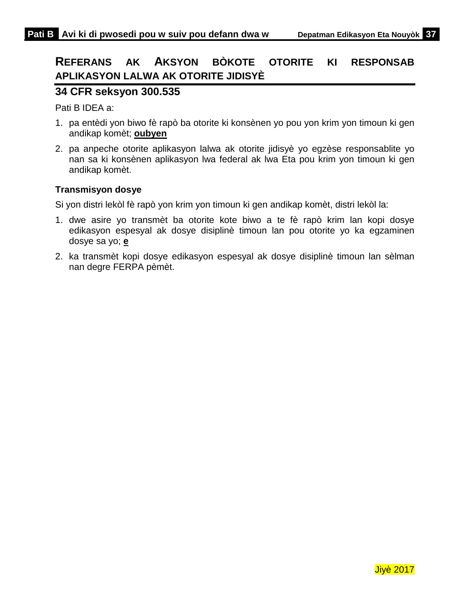# <span id="page-39-0"></span>**REFERANS AK AKSYON BÒKOTE OTORITE KI RESPONSAB APLIKASYON LALWA AK OTORITE JIDISYÈ**

### **34 CFR seksyon 300.535**

Pati B IDEA a:

- 1. pa entèdi yon biwo fè rapò ba otorite ki konsènen yo pou yon krim yon timoun ki gen andikap komèt; **oubyen**
- 2. pa anpeche otorite aplikasyon lalwa ak otorite jidisyè yo egzèse responsablite yo nan sa ki konsènen aplikasyon lwa federal ak lwa Eta pou krim yon timoun ki gen andikap komèt.

### **Transmisyon dosye**

Si yon distri lekòl fè rapò yon krim yon timoun ki gen andikap komèt, distri lekòl la:

- 1. dwe asire yo transmèt ba otorite kote biwo a te fè rapò krim lan kopi dosye edikasyon espesyal ak dosye disiplinè timoun lan pou otorite yo ka egzaminen dosye sa yo; **e**
- 2. ka transmèt kopi dosye edikasyon espesyal ak dosye disiplinè timoun lan sèlman nan degre FERPA pèmèt.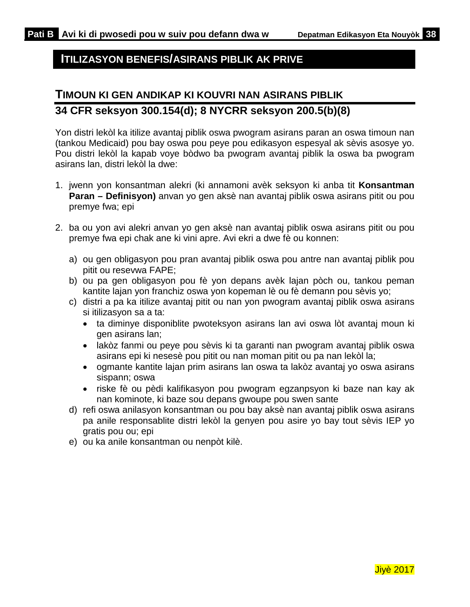## <span id="page-40-0"></span>**ITILIZASYON BENEFIS/ASIRANS PIBLIK AK PRIVE**

# <span id="page-40-1"></span>**TIMOUN KI GEN ANDIKAP KI KOUVRI NAN ASIRANS PIBLIK 34 CFR seksyon 300.154(d); 8 NYCRR seksyon 200.5(b)(8)**

Yon distri lekòl ka itilize avantaj piblik oswa pwogram asirans paran an oswa timoun nan (tankou Medicaid) pou bay oswa pou peye pou edikasyon espesyal ak sèvis asosye yo. Pou distri lekòl la kapab voye bòdwo ba pwogram avantaj piblik la oswa ba pwogram asirans lan, distri lekòl la dwe:

- 1. jwenn yon konsantman alekri (ki annamoni avèk seksyon ki anba tit **Konsantman Paran – Definisyon)** anvan yo gen aksè nan avantaj piblik oswa asirans pitit ou pou premye fwa; epi
- 2. ba ou yon avi alekri anvan yo gen aksè nan avantaj piblik oswa asirans pitit ou pou premye fwa epi chak ane ki vini apre. Avi ekri a dwe fè ou konnen:
	- a) ou gen obligasyon pou pran avantaj piblik oswa pou antre nan avantaj piblik pou pitit ou resevwa FAPE;
	- b) ou pa gen obligasyon pou fè yon depans avèk lajan pòch ou, tankou peman kantite lajan yon franchiz oswa yon kopeman lè ou fè demann pou sèvis yo;
	- c) distri a pa ka itilize avantaj pitit ou nan yon pwogram avantaj piblik oswa asirans si itilizasyon sa a ta:
		- ta diminye disponiblite pwoteksyon asirans lan avi oswa lòt avantaj moun ki gen asirans lan;
		- lakòz fanmi ou peye pou sèvis ki ta garanti nan pwogram avantaj piblik oswa asirans epi ki nesesè pou pitit ou nan moman pitit ou pa nan lekòl la;
		- ogmante kantite lajan prim asirans lan oswa ta lakòz avantaj yo oswa asirans sispann; oswa
		- riske fè ou pèdi kalifikasyon pou pwogram egzanpsyon ki baze nan kay ak nan kominote, ki baze sou depans gwoupe pou swen sante
	- d) refi oswa anilasyon konsantman ou pou bay aksè nan avantaj piblik oswa asirans pa anile responsablite distri lekòl la genyen pou asire yo bay tout sèvis IEP yo gratis pou ou; epi
	- e) ou ka anile konsantman ou nenpòt kilè.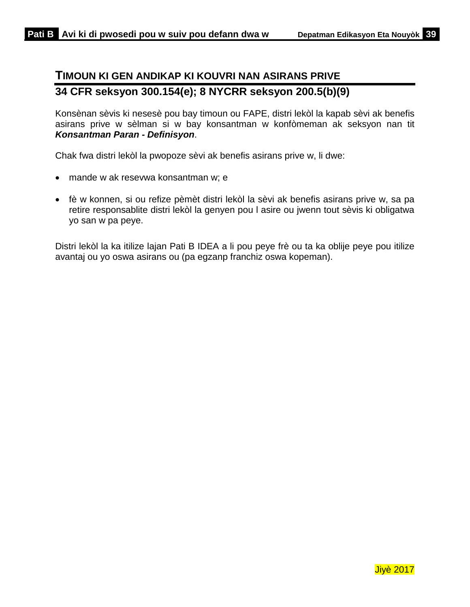# <span id="page-41-0"></span>**TIMOUN KI GEN ANDIKAP KI KOUVRI NAN ASIRANS PRIVE 34 CFR seksyon 300.154(e); 8 NYCRR seksyon 200.5(b)(9)**

Konsènan sèvis ki nesesè pou bay timoun ou FAPE, distri lekòl la kapab sèvi ak benefis asirans prive w sèlman si w bay konsantman w konfòmeman ak seksyon nan tit *Konsantman Paran - Definisyon*.

Chak fwa distri lekòl la pwopoze sèvi ak benefis asirans prive w, li dwe:

- mande w ak resevwa konsantman w; e
- fè w konnen, si ou refize pèmèt distri lekòl la sèvi ak benefis asirans prive w, sa pa retire responsablite distri lekòl la genyen pou l asire ou jwenn tout sèvis ki obligatwa yo san w pa peye.

Distri lekòl la ka itilize lajan Pati B IDEA a li pou peye frè ou ta ka oblije peye pou itilize avantaj ou yo oswa asirans ou (pa egzanp franchiz oswa kopeman).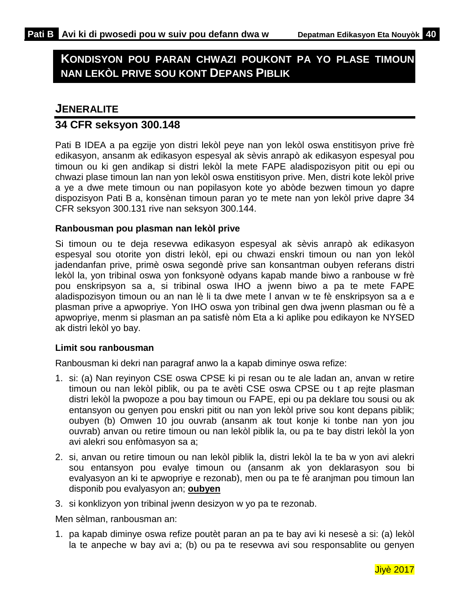# <span id="page-42-0"></span>**KONDISYON POU PARAN CHWAZI POUKONT PA YO PLASE TIMOUN NAN LEKÒL PRIVE SOU KONT DEPANS PIBLIK**

### <span id="page-42-1"></span>**JENERALITE**

### **34 CFR seksyon 300.148**

Pati B IDEA a pa egzije yon distri lekòl peye nan yon lekòl oswa enstitisyon prive frè edikasyon, ansanm ak edikasyon espesyal ak sèvis anrapò ak edikasyon espesyal pou timoun ou ki gen andikap si distri lekòl la mete FAPE aladispozisyon pitit ou epi ou chwazi plase timoun lan nan yon lekòl oswa enstitisyon prive. Men, distri kote lekòl prive a ye a dwe mete timoun ou nan popilasyon kote yo abòde bezwen timoun yo dapre dispozisyon Pati B a, konsènan timoun paran yo te mete nan yon lekòl prive dapre 34 CFR seksyon 300.131 rive nan seksyon 300.144.

### **Ranbousman pou plasman nan lekòl prive**

Si timoun ou te deja resevwa edikasyon espesyal ak sèvis anrapò ak edikasyon espesyal sou otorite yon distri lekòl, epi ou chwazi enskri timoun ou nan yon lekòl jadendanfan prive, primè oswa segondè prive san konsantman oubyen referans distri lekòl la, yon tribinal oswa yon fonksyonè odyans kapab mande biwo a ranbouse w frè pou enskripsyon sa a, si tribinal oswa IHO a jwenn biwo a pa te mete FAPE aladispozisyon timoun ou an nan lè li ta dwe mete l anvan w te fè enskripsyon sa a e plasman prive a apwopriye. Yon IHO oswa yon tribinal gen dwa jwenn plasman ou fè a apwopriye, menm si plasman an pa satisfè nòm Eta a ki aplike pou edikayon ke NYSED ak distri lekòl yo bay.

#### **Limit sou ranbousman**

Ranbousman ki dekri nan paragraf anwo la a kapab diminye oswa refize:

- 1. si: (a) Nan reyinyon CSE oswa CPSE ki pi resan ou te ale ladan an, anvan w retire timoun ou nan lekòl piblik, ou pa te avèti CSE oswa CPSE ou t ap rejte plasman distri lekòl la pwopoze a pou bay timoun ou FAPE, epi ou pa deklare tou sousi ou ak entansyon ou genyen pou enskri pitit ou nan yon lekòl prive sou kont depans piblik; oubyen (b) Omwen 10 jou ouvrab (ansanm ak tout konje ki tonbe nan yon jou ouvrab) anvan ou retire timoun ou nan lekòl piblik la, ou pa te bay distri lekòl la yon avi alekri sou enfòmasyon sa a;
- 2. si, anvan ou retire timoun ou nan lekòl piblik la, distri lekòl la te ba w yon avi alekri sou entansyon pou evalye timoun ou (ansanm ak yon deklarasyon sou bi evalyasyon an ki te apwopriye e rezonab), men ou pa te fè aranjman pou timoun lan disponib pou evalyasyon an; **oubyen**
- 3. si konklizyon yon tribinal jwenn desizyon w yo pa te rezonab.

Men sèlman, ranbousman an:

1. pa kapab diminye oswa refize poutèt paran an pa te bay avi ki nesesè a si: (a) lekòl la te anpeche w bay avi a; (b) ou pa te resevwa avi sou responsablite ou genyen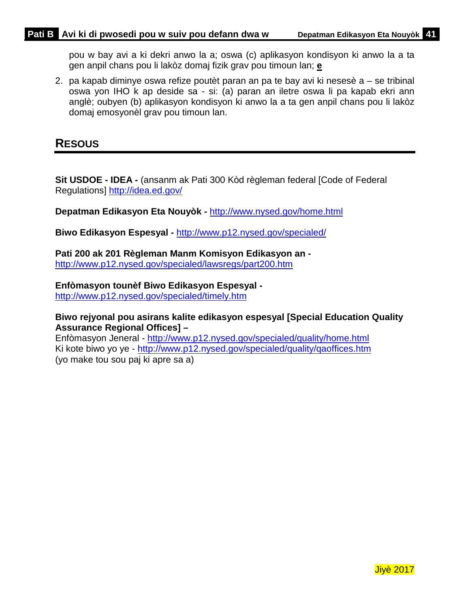pou w bay avi a ki dekri anwo la a; oswa (c) aplikasyon kondisyon ki anwo la a ta gen anpil chans pou li lakòz domaj fizik grav pou timoun lan; **e**

2. pa kapab diminye oswa refize poutèt paran an pa te bay avi ki nesesè a – se tribinal oswa yon IHO k ap deside sa - si: (a) paran an iletre oswa li pa kapab ekri ann anglè; oubyen (b) aplikasyon kondisyon ki anwo la a ta gen anpil chans pou li lakòz domaj emosyonèl grav pou timoun lan.

# <span id="page-43-0"></span>**RESOUS**

**Sit USDOE - IDEA -** (ansanm ak Pati 300 Kòd règleman federal [Code of Federal Regulations]<http://idea.ed.gov/>

**Depatman Edikasyon Eta Nouyòk -** <http://www.nysed.gov/home.html>

**Biwo Edikasyon Espesyal -** <http://www.p12.nysed.gov/specialed/>

**Pati 200 ak 201 Règleman Manm Komisyon Edikasyon an**  <http://www.p12.nysed.gov/specialed/lawsregs/part200.htm>

**Enfòmasyon tounèf Biwo Edikasyon Espesyal -**

<http://www.p12.nysed.gov/specialed/timely.htm>

### **Biwo rejyonal pou asirans kalite edikasyon espesyal [Special Education Quality Assurance Regional Offices] –**

Enfòmasyon Jeneral - <http://www.p12.nysed.gov/specialed/quality/home.html> Ki kote biwo yo ye - <http://www.p12.nysed.gov/specialed/quality/qaoffices.htm> (yo make tou sou paj ki apre sa a)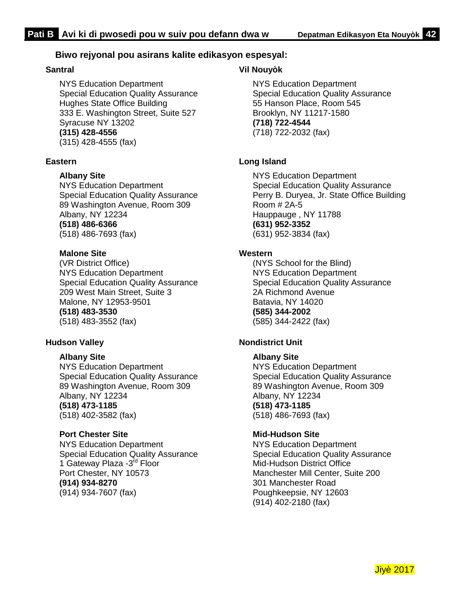### **Biwo rejyonal pou asirans kalite edikasyon espesyal:**

#### **Santral**

NYS Education Department Special Education Quality Assurance Hughes State Office Building 333 E. Washington Street, Suite 527 Syracuse NY 13202 **(315) 428-4556** (315) 428-4555 (fax)

#### **Eastern**

**Albany Site** 

NYS Education Department Special Education Quality Assurance 89 Washington Avenue, Room 309 Albany, NY 12234 **(518) 486-6366** (518) 486-7693 (fax)

#### **Malone Site**

(VR District Office) NYS Education Department Special Education Quality Assurance 209 West Main Street, Suite 3 Malone, NY 12953-9501 **(518) 483-3530** (518) 483-3552 (fax)

#### **Hudson Valley**

#### **Albany Site**

NYS Education Department Special Education Quality Assurance 89 Washington Avenue, Room 309 Albany, NY 12234 **(518) 473-1185** (518) 402-3582 (fax)

#### **Port Chester Site**

NYS Education Department Special Education Quality Assurance 1 Gateway Plaza -3rd Floor Port Chester, NY 10573 **(914) 934-8270** (914) 934-7607 (fax)

### **Vil Nouyòk**

NYS Education Department Special Education Quality Assurance 55 Hanson Place, Room 545 Brooklyn, NY 11217-1580 **(718) 722-4544** (718) 722-2032 (fax)

### **Long Island**

NYS Education Department Special Education Quality Assurance Perry B. Duryea, Jr. State Office Building Room # 2A-5 Hauppauge , NY 11788 **(631) 952-3352** (631) 952-3834 (fax)

#### **Western**

(NYS School for the Blind) NYS Education Department Special Education Quality Assurance 2A Richmond Avenue Batavia, NY 14020 **(585) 344-2002** (585) 344-2422 (fax)

#### **Nondistrict Unit**

#### **Albany Site**

NYS Education Department Special Education Quality Assurance 89 Washington Avenue, Room 309 Albany, NY 12234 **(518) 473-1185** (518) 486-7693 (fax)

#### **Mid-Hudson Site**

NYS Education Department Special Education Quality Assurance Mid-Hudson District Office Manchester Mill Center, Suite 200 301 Manchester Road Poughkeepsie, NY 12603 (914) 402-2180 (fax)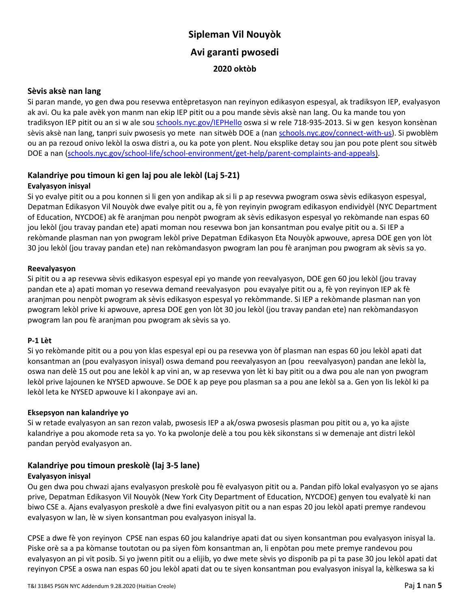# **Sipleman Vil Nouyòk Avi garanti pwosedi 2020 oktòb**

#### **Sèvis aksè nan lang**

Si paran mande, yo gen dwa pou resevwa entèpretasyon nan reyinyon edikasyon espesyal, ak tradiksyon IEP, evalyasyon ak avi. Ou ka pale avèk yon manm nan ekip IEP pitit ou a pou mande sèvis aksè nan lang. Ou ka mande tou yon tradiksyon IEP pitit ou an si w ale sou [schools.nyc.gov/IEPHello](https://schools.nyc.gov/IEPHello) oswa si w rele 718-935-2013. Si w gen kesyon konsènan sèvis aksè nan lang, tanpri suiv pwosesis yo mete nan sitwèb DOE a (na[n schools.nyc.gov/connect-with-us\)](https://schools.nyc.gov/connect-with-us). Si pwoblèm ou an pa rezoud onivo lekòl la oswa distri a, ou ka pote yon plent. Nou eksplike detay sou jan pou pote plent sou sitwèb DOE a nan [\(schools.nyc.gov/school-life/school-environment/get-help/parent-complaints-and-appeals\)](https://nycdoe-my.sharepoint.com/personal/ajaffe5_schools_nyc_gov/Documents/schools.nyc.gov/school-life/school-environment/get-help/parent-complaints-and-appeals).

### **Kalandriye pou timoun ki gen laj pou ale lekòl (Laj 5-21)**

#### **Evalyasyon inisyal**

Si yo evalye pitit ou a pou konnen si li gen yon andikap ak si li p ap resevwa pwogram oswa sèvis edikasyon espesyal, Depatman Edikasyon Vil Nouyòk dwe evalye pitit ou a, fè yon reyinyin pwogram edikasyon endividyèl (NYC Department of Education, NYCDOE) ak fè aranjman pou nenpòt pwogram ak sèvis edikasyon espesyal yo rekòmande nan espas 60 jou lekòl (jou travay pandan ete) apati moman nou resevwa bon jan konsantman pou evalye pitit ou a. Si IEP a rekòmande plasman nan yon pwogram lekòl prive Depatman Edikasyon Eta Nouyòk apwouve, apresa DOE gen yon lòt 30 jou lekòl (jou travay pandan ete) nan rekòmandasyon pwogram lan pou fè aranjman pou pwogram ak sèvis sa yo.

#### **Reevalyasyon**

Si pitit ou a ap resevwa sèvis edikasyon espesyal epi yo mande yon reevalyasyon, DOE gen 60 jou lekòl (jou travay pandan ete a) apati moman yo resevwa demand reevalyasyon pou evayalye pitit ou a, fè yon reyinyon IEP ak fè aranjman pou nenpòt pwogram ak sèvis edikasyon espesyal yo rekòmmande. Si IEP a rekòmande plasman nan yon pwogram lekòl prive ki apwouve, apresa DOE gen yon lòt 30 jou lekòl (jou travay pandan ete) nan rekòmandasyon pwogram lan pou fè aranjman pou pwogram ak sèvis sa yo.

#### **P-1 Lèt**

Si yo rekòmande pitit ou a pou yon klas espesyal epi ou pa resevwa yon òf plasman nan espas 60 jou lekòl apati dat konsantman an (pou evalyasyon inisyal) oswa demand pou reevalyasyon an (pou reevalyasyon) pandan ane lekòl la, oswa nan delè 15 out pou ane lekòl k ap vini an, w ap resevwa yon lèt ki bay pitit ou a dwa pou ale nan yon pwogram lekòl prive lajounen ke NYSED apwouve. Se DOE k ap peye pou plasman sa a pou ane lekòl sa a. Gen yon lis lekòl ki pa lekòl leta ke NYSED apwouve ki l akonpaye avi an.

#### **Eksepsyon nan kalandriye yo**

Si w retade evalyasyon an san rezon valab, pwosesis IEP a ak/oswa pwosesis plasman pou pitit ou a, yo ka ajiste kalandriye a pou akomode reta sa yo. Yo ka pwolonje delè a tou pou kèk sikonstans si w demenaje ant distri lekòl pandan peryòd evalyasyon an.

#### **Kalandriye pou timoun preskolè (laj 3-5 lane)**

#### **Evalyasyon inisyal**

Ou gen dwa pou chwazi ajans evalyasyon preskolè pou fè evalyasyon pitit ou a. Pandan pifò lokal evalyasyon yo se ajans prive, Depatman Edikasyon Vil Nouyòk (New York City Department of Education, NYCDOE) genyen tou evalyatè ki nan biwo CSE a. Ajans evalyasyon preskolè a dwe fini evalyasyon pitit ou a nan espas 20 jou lekòl apati premye randevou evalyasyon w lan, lè w siyen konsantman pou evalyasyon inisyal la.

CPSE a dwe fè yon reyinyon CPSE nan espas 60 jou kalandriye apati dat ou siyen konsantman pou evalyasyon inisyal la. Piske orè sa a pa kòmanse toutotan ou pa siyen fòm konsantman an, li enpòtan pou mete premye randevou pou evalyasyon an pi vit posib. Si yo jwenn pitit ou a elijib, yo dwe mete sèvis yo disponib pa pi ta pase 30 jou lekòl apati dat reyinyon CPSE a oswa nan espas 60 jou lekòl apati dat ou te siyen konsantman pou evalyasyon inisyal la, kèlkeswa sa ki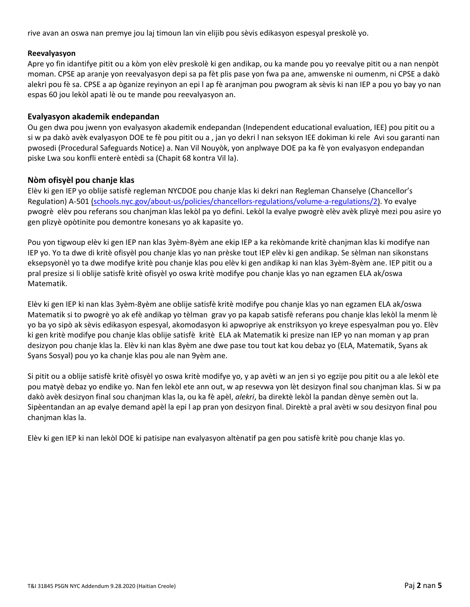rive avan an oswa nan premye jou laj timoun lan vin elijib pou sèvis edikasyon espesyal preskolè yo.

#### **Reevalyasyon**

Apre yo fin idantifye pitit ou a kòm yon elèv preskolè ki gen andikap, ou ka mande pou yo reevalye pitit ou a nan nenpòt moman. CPSE ap aranje yon reevalyasyon depi sa pa fèt plis pase yon fwa pa ane, amwenske ni oumenm, ni CPSE a dakò alekri pou fè sa. CPSE a ap òganize reyinyon an epi l ap fè aranjman pou pwogram ak sèvis ki nan IEP a pou yo bay yo nan espas 60 jou lekòl apati lè ou te mande pou reevalyasyon an.

#### **Evalyasyon akademik endepandan**

Ou gen dwa pou jwenn yon evalyasyon akademik endepandan (Independent educational evaluation, IEE) pou pitit ou a si w pa dakò avèk evalyasyon DOE te fè pou pitit ou a , jan yo dekri l nan seksyon IEE dokiman ki rele Avi sou garanti nan pwosedi (Procedural Safeguards Notice) a. Nan Vil Nouyòk, yon anplwaye DOE pa ka fè yon evalyasyon endepandan piske Lwa sou konfli enterè entèdi sa (Chapit 68 kontra Vil la).

#### **Nòm ofisyèl pou chanje klas**

Elèv ki gen IEP yo oblije satisfè regleman NYCDOE pou chanje klas ki dekri nan Regleman Chanselye (Chancellor's Regulation) A-501 [\(schools.nyc.gov/about-us/policies/chancellors-regulations/volume-a-regulations/2\)](https://nycdoe-my.sharepoint.com/personal/ajaffe5_schools_nyc_gov/Documents/schools.nyc.gov/school-life/school-environment/get-help/parent-complaints-and-appeals). Yo evalye pwogrè elèv pou referans sou chanjman klas lekòl pa yo defini. Lekòl la evalye pwogrè elèv avèk plizyè mezi pou asire yo gen plizyè opòtinite pou demontre konesans yo ak kapasite yo.

Pou yon tigwoup elèv ki gen IEP nan klas 3yèm-8yèm ane ekip IEP a ka rekòmande kritè chanjman klas ki modifye nan IEP yo. Yo ta dwe di kritè ofisyèl pou chanje klas yo nan prèske tout IEP elèv ki gen andikap. Se sèlman nan sikonstans eksepsyonèl yo ta dwe modifye kritè pou chanje klas pou elèv ki gen andikap ki nan klas 3yèm-8yèm ane. IEP pitit ou a pral presize si li oblije satisfè kritè ofisyèl yo oswa kritè modifye pou chanje klas yo nan egzamen ELA ak/oswa Matematik.

Elèv ki gen IEP ki nan klas 3yèm-8yèm ane oblije satisfè kritè modifye pou chanje klas yo nan egzamen ELA ak/oswa Matematik si to pwogrè yo ak efè andikap yo tèlman grav yo pa kapab satisfè referans pou chanje klas lekòl la menm lè yo ba yo sipò ak sèvis edikasyon espesyal, akomodasyon ki apwopriye ak enstriksyon yo kreye espesyalman pou yo. Elèv ki gen kritè modifye pou chanje klas oblije satisfè kritè ELA ak Matematik ki presize nan IEP yo nan moman y ap pran desizyon pou chanje klas la. Elèv ki nan klas 8yèm ane dwe pase tou tout kat kou debaz yo (ELA, Matematik, Syans ak Syans Sosyal) pou yo ka chanje klas pou ale nan 9yèm ane.

Si pitit ou a oblije satisfè kritè ofisyèl yo oswa kritè modifye yo, y ap avèti w an jen si yo egzije pou pitit ou a ale lekòl ete pou matyè debaz yo endike yo. Nan fen lekòl ete ann out, w ap resevwa yon lèt desizyon final sou chanjman klas. Si w pa dakò avèk desizyon final sou chanjman klas la, ou ka fè apèl, *alekri*, ba direktè lekòl la pandan dènye semèn out la. Sipèentandan an ap evalye demand apèl la epi l ap pran yon desizyon final. Direktè a pral avèti w sou desizyon final pou chanjman klas la.

Elèv ki gen IEP ki nan lekòl DOE ki patisipe nan evalyasyon altènatif pa gen pou satisfè kritè pou chanje klas yo.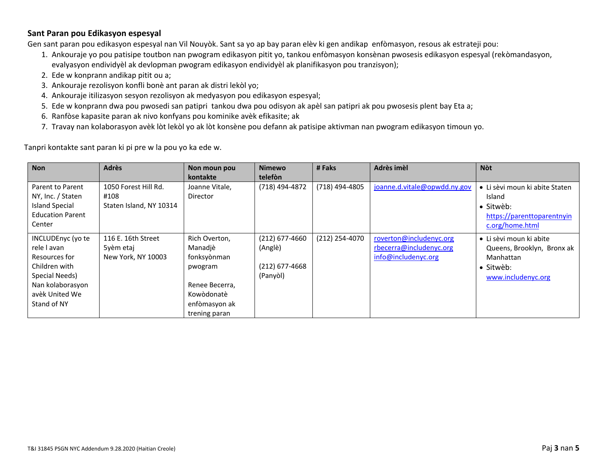#### **Sant Paran pou Edikasyon espesyal**

Gen sant paran pou edikasyon espesyal nan Vil Nouyòk. Sant sa yo ap bay paran elèv ki gen andikap enfòmasyon, resous ak estrateji pou:

- 1. Ankouraje yo pou patisipe toutbon nan pwogram edikasyon pitit yo, tankou enfòmasyon konsènan pwosesis edikasyon espesyal (rekòmandasyon, evalyasyon endividyèl ak devlopman pwogram edikasyon endividyèl ak planifikasyon pou tranzisyon);
- 2. Ede w konprann andikap pitit ou a;
- 3. Ankouraje rezolisyon konfli bonè ant paran ak distri lekòl yo;
- 4. Ankouraje itilizasyon sesyon rezolisyon ak medyasyon pou edikasyon espesyal;
- 5. Ede w konprann dwa pou pwosedi san patipri tankou dwa pou odisyon ak apèl san patipri ak pou pwosesis plent bay Eta a;
- 6. Ranfòse kapasite paran ak nivo konfyans pou kominike avèk efikasite; ak
- 7. Travay nan kolaborasyon avèk lòt lekòl yo ak lòt konsène pou defann ak patisipe aktivman nan pwogram edikasyon timoun yo.

Tanpri kontakte sant paran ki pi pre w la pou yo ka ede w.

| <b>Non</b>                                                                                                                                | <b>Adrès</b>                                            | Non moun pou<br>kontakte                                                                                             | <b>Nimewo</b><br>telefòn                                    | #Faks          | Adrès imèl                                                                | <b>N</b> ot                                                                                            |
|-------------------------------------------------------------------------------------------------------------------------------------------|---------------------------------------------------------|----------------------------------------------------------------------------------------------------------------------|-------------------------------------------------------------|----------------|---------------------------------------------------------------------------|--------------------------------------------------------------------------------------------------------|
| Parent to Parent<br>NY, Inc. / Staten<br><b>Island Special</b><br><b>Education Parent</b><br>Center                                       | 1050 Forest Hill Rd.<br>#108<br>Staten Island, NY 10314 | Joanne Vitale,<br>Director                                                                                           | (718) 494-4872                                              | (718) 494-4805 | joanne.d.vitale@opwdd.ny.gov                                              | • Li sèvi moun ki abite Staten<br>Island<br>· Sitwèb:<br>https://parenttoparentnyin<br>c.org/home.html |
| INCLUDEnyc (yo te<br>rele I avan<br>Resources for<br>Children with<br>Special Needs)<br>Nan kolaborasyon<br>avèk United We<br>Stand of NY | 116 E. 16th Street<br>5yèm etaj<br>New York, NY 10003   | Rich Overton,<br>Manadiè<br>fonksyònman<br>pwogram<br>Renee Becerra,<br>Kowòdonatè<br>enfòmasyon ak<br>trening paran | $(212)$ 677-4660<br>(Anglè)<br>$(212)$ 677-4668<br>(Panyòl) | (212) 254-4070 | roverton@includenyc.org<br>rbecerra@includenyc.org<br>info@includenyc.org | • Li sèvi moun ki abite<br>Queens, Brooklyn, Bronx ak<br>Manhattan<br>· Sitwèb:<br>www.includenyc.org  |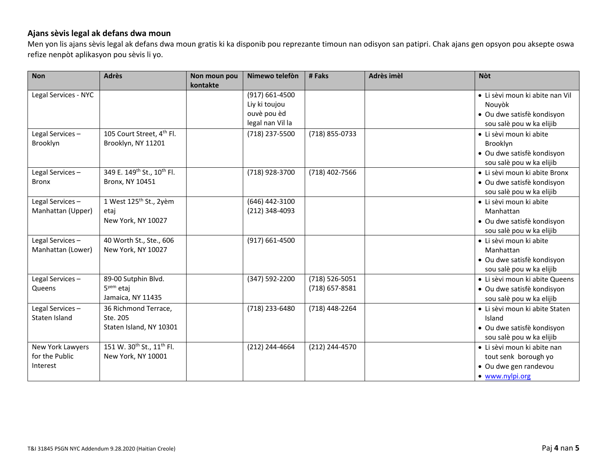### **Ajans sèvis legal ak defans dwa moun**

Men yon lis ajans sèvis legal ak defans dwa moun gratis ki ka disponib pou reprezante timoun nan odisyon san patipri. Chak ajans gen opsyon pou aksepte oswa refize nenpòt aplikasyon pou sèvis li yo.

| <b>Non</b>           | <b>Adrès</b>                                       | Non moun pou | Nimewo telefòn     | # Faks           | Adrès imèl | <b>Nòt</b>                      |
|----------------------|----------------------------------------------------|--------------|--------------------|------------------|------------|---------------------------------|
|                      |                                                    | kontakte     |                    |                  |            |                                 |
| Legal Services - NYC |                                                    |              | $(917) 661 - 4500$ |                  |            | • Li sèvi moun ki abite nan Vil |
|                      |                                                    |              | Liy ki toujou      |                  |            | Nouyòk                          |
|                      |                                                    |              | ouvè pou èd        |                  |            | • Ou dwe satisfè kondisyon      |
|                      |                                                    |              | legal nan Vil la   |                  |            | sou salè pou w ka elijib        |
| Legal Services-      | 105 Court Street, 4 <sup>th</sup> Fl.              |              | (718) 237-5500     | (718) 855-0733   |            | · Li sèvi moun ki abite         |
| Brooklyn             | Brooklyn, NY 11201                                 |              |                    |                  |            | Brooklyn                        |
|                      |                                                    |              |                    |                  |            | · Ou dwe satisfè kondisyon      |
|                      |                                                    |              |                    |                  |            | sou salè pou w ka elijib        |
| Legal Services-      | 349 E. 149 <sup>th</sup> St., 10 <sup>th</sup> Fl. |              | (718) 928-3700     | (718) 402-7566   |            | • Li sèvi moun ki abite Bronx   |
| <b>Bronx</b>         | Bronx, NY 10451                                    |              |                    |                  |            | • Ou dwe satisfè kondisyon      |
|                      |                                                    |              |                    |                  |            | sou salè pou w ka elijib        |
| Legal Services-      | 1 West 125 <sup>th</sup> St., 2yèm                 |              | (646) 442-3100     |                  |            | · Li sèvi moun ki abite         |
| Manhattan (Upper)    | etaj                                               |              | (212) 348-4093     |                  |            | Manhattan                       |
|                      | New York, NY 10027                                 |              |                    |                  |            | • Ou dwe satisfè kondisyon      |
|                      |                                                    |              |                    |                  |            | sou salè pou w ka elijib        |
| Legal Services-      | 40 Worth St., Ste., 606                            |              | $(917) 661 - 4500$ |                  |            | · Li sèvi moun ki abite         |
| Manhattan (Lower)    | New York, NY 10027                                 |              |                    |                  |            | Manhattan                       |
|                      |                                                    |              |                    |                  |            | • Ou dwe satisfè kondisyon      |
|                      |                                                    |              |                    |                  |            | sou salè pou w ka elijib        |
| Legal Services-      | 89-00 Sutphin Blvd.                                |              | (347) 592-2200     | (718) 526-5051   |            | • Li sèvi moun ki abite Queens  |
| Queens               | $5yem$ etai                                        |              |                    | $(718)$ 657-8581 |            | · Ou dwe satisfè kondisyon      |
|                      | Jamaica, NY 11435                                  |              |                    |                  |            | sou salè pou w ka elijib        |
| Legal Services-      | 36 Richmond Terrace,                               |              | (718) 233-6480     | (718) 448-2264   |            | • Li sèvi moun ki abite Staten  |
| Staten Island        | Ste. 205                                           |              |                    |                  |            | Island                          |
|                      | Staten Island, NY 10301                            |              |                    |                  |            | · Ou dwe satisfè kondisyon      |
|                      |                                                    |              |                    |                  |            | sou salè pou w ka elijib        |
| New York Lawyers     | 151 W. 30 <sup>th</sup> St., 11 <sup>th</sup> Fl.  |              | (212) 244-4664     | (212) 244-4570   |            | · Li sèvi moun ki abite nan     |
| for the Public       | New York, NY 10001                                 |              |                    |                  |            | tout senk borough yo            |
| Interest             |                                                    |              |                    |                  |            | • Ou dwe gen randevou           |
|                      |                                                    |              |                    |                  |            | · www.nylpi.org                 |